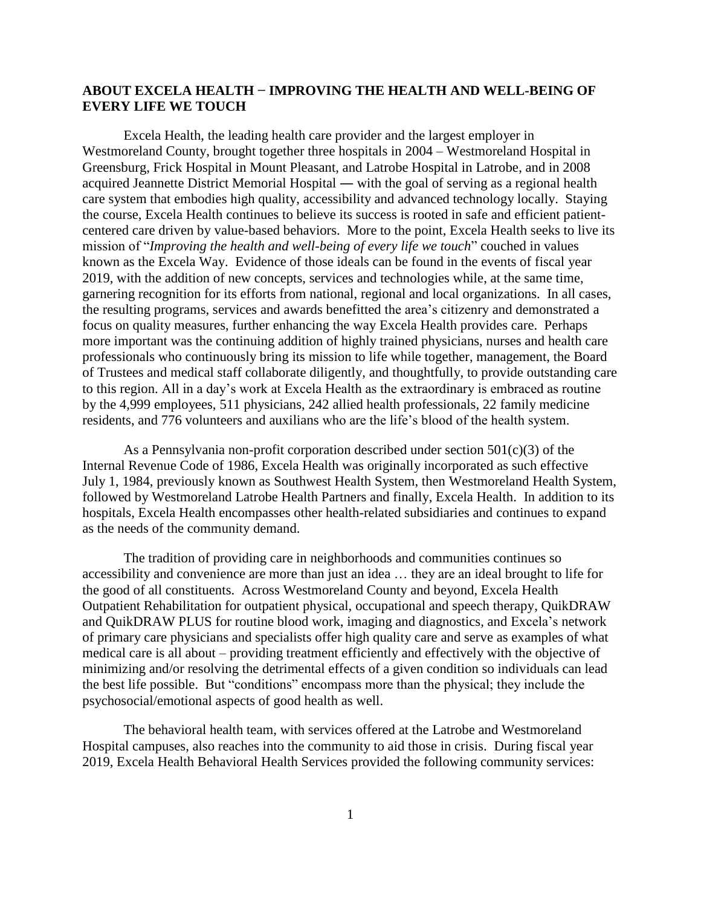# **ABOUT EXCELA HEALTH − IMPROVING THE HEALTH AND WELL-BEING OF EVERY LIFE WE TOUCH**

Excela Health, the leading health care provider and the largest employer in Westmoreland County, brought together three hospitals in 2004 – Westmoreland Hospital in Greensburg, Frick Hospital in Mount Pleasant, and Latrobe Hospital in Latrobe, and in 2008 acquired Jeannette District Memorial Hospital ― with the goal of serving as a regional health care system that embodies high quality, accessibility and advanced technology locally. Staying the course, Excela Health continues to believe its success is rooted in safe and efficient patientcentered care driven by value-based behaviors. More to the point, Excela Health seeks to live its mission of "*Improving the health and well-being of every life we touch*" couched in values known as the Excela Way. Evidence of those ideals can be found in the events of fiscal year 2019, with the addition of new concepts, services and technologies while, at the same time, garnering recognition for its efforts from national, regional and local organizations. In all cases, the resulting programs, services and awards benefitted the area's citizenry and demonstrated a focus on quality measures, further enhancing the way Excela Health provides care. Perhaps more important was the continuing addition of highly trained physicians, nurses and health care professionals who continuously bring its mission to life while together, management, the Board of Trustees and medical staff collaborate diligently, and thoughtfully, to provide outstanding care to this region. All in a day's work at Excela Health as the extraordinary is embraced as routine by the 4,999 employees, 511 physicians, 242 allied health professionals, 22 family medicine residents, and 776 volunteers and auxilians who are the life's blood of the health system.

As a Pennsylvania non-profit corporation described under section  $501(c)(3)$  of the Internal Revenue Code of 1986, Excela Health was originally incorporated as such effective July 1, 1984, previously known as Southwest Health System, then Westmoreland Health System, followed by Westmoreland Latrobe Health Partners and finally, Excela Health. In addition to its hospitals, Excela Health encompasses other health-related subsidiaries and continues to expand as the needs of the community demand.

The tradition of providing care in neighborhoods and communities continues so accessibility and convenience are more than just an idea … they are an ideal brought to life for the good of all constituents. Across Westmoreland County and beyond, Excela Health Outpatient Rehabilitation for outpatient physical, occupational and speech therapy, QuikDRAW and QuikDRAW PLUS for routine blood work, imaging and diagnostics, and Excela's network of primary care physicians and specialists offer high quality care and serve as examples of what medical care is all about – providing treatment efficiently and effectively with the objective of minimizing and/or resolving the detrimental effects of a given condition so individuals can lead the best life possible. But "conditions" encompass more than the physical; they include the psychosocial/emotional aspects of good health as well.

The behavioral health team, with services offered at the Latrobe and Westmoreland Hospital campuses, also reaches into the community to aid those in crisis. During fiscal year 2019, Excela Health Behavioral Health Services provided the following community services: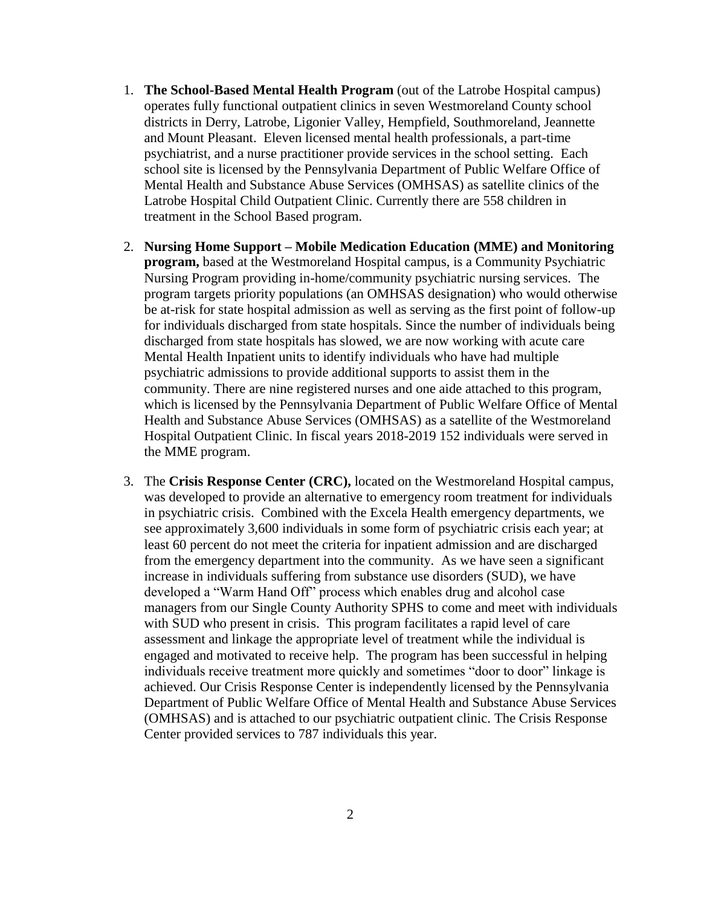- 1. **The School-Based Mental Health Program** (out of the Latrobe Hospital campus) operates fully functional outpatient clinics in seven Westmoreland County school districts in Derry, Latrobe, Ligonier Valley, Hempfield, Southmoreland, Jeannette and Mount Pleasant. Eleven licensed mental health professionals, a part-time psychiatrist, and a nurse practitioner provide services in the school setting. Each school site is licensed by the Pennsylvania Department of Public Welfare Office of Mental Health and Substance Abuse Services (OMHSAS) as satellite clinics of the Latrobe Hospital Child Outpatient Clinic. Currently there are 558 children in treatment in the School Based program.
- 2. **Nursing Home Support – Mobile Medication Education (MME) and Monitoring program,** based at the Westmoreland Hospital campus, is a Community Psychiatric Nursing Program providing in-home/community psychiatric nursing services. The program targets priority populations (an OMHSAS designation) who would otherwise be at-risk for state hospital admission as well as serving as the first point of follow-up for individuals discharged from state hospitals. Since the number of individuals being discharged from state hospitals has slowed, we are now working with acute care Mental Health Inpatient units to identify individuals who have had multiple psychiatric admissions to provide additional supports to assist them in the community. There are nine registered nurses and one aide attached to this program, which is licensed by the Pennsylvania Department of Public Welfare Office of Mental Health and Substance Abuse Services (OMHSAS) as a satellite of the Westmoreland Hospital Outpatient Clinic. In fiscal years 2018-2019 152 individuals were served in the MME program.
- 3. The **Crisis Response Center (CRC),** located on the Westmoreland Hospital campus, was developed to provide an alternative to emergency room treatment for individuals in psychiatric crisis. Combined with the Excela Health emergency departments, we see approximately 3,600 individuals in some form of psychiatric crisis each year; at least 60 percent do not meet the criteria for inpatient admission and are discharged from the emergency department into the community. As we have seen a significant increase in individuals suffering from substance use disorders (SUD), we have developed a "Warm Hand Off" process which enables drug and alcohol case managers from our Single County Authority SPHS to come and meet with individuals with SUD who present in crisis. This program facilitates a rapid level of care assessment and linkage the appropriate level of treatment while the individual is engaged and motivated to receive help. The program has been successful in helping individuals receive treatment more quickly and sometimes "door to door" linkage is achieved. Our Crisis Response Center is independently licensed by the Pennsylvania Department of Public Welfare Office of Mental Health and Substance Abuse Services (OMHSAS) and is attached to our psychiatric outpatient clinic. The Crisis Response Center provided services to 787 individuals this year.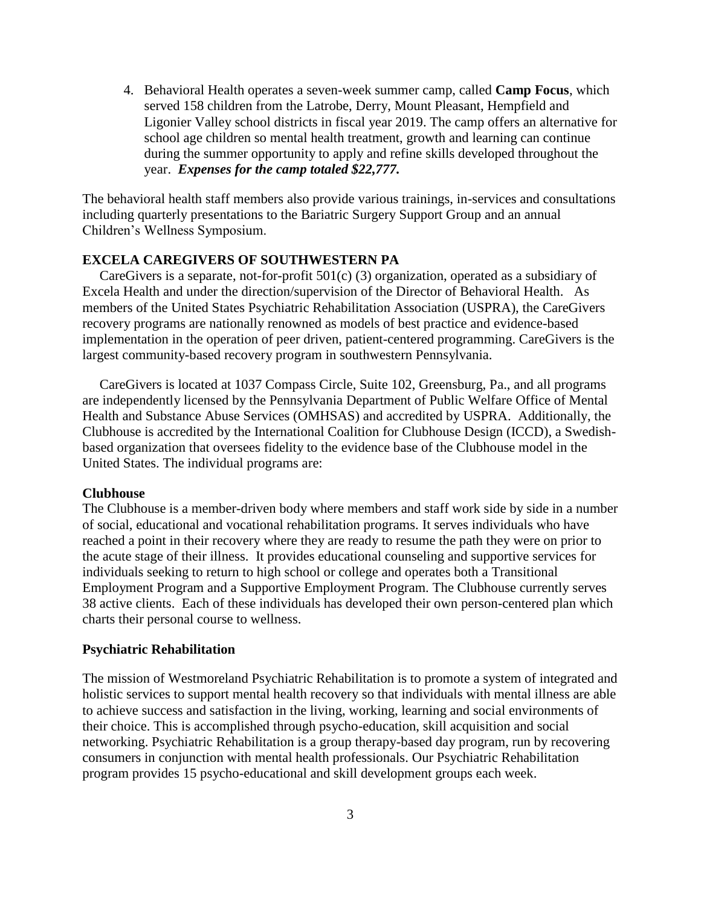4. Behavioral Health operates a seven-week summer camp, called **Camp Focus**, which served 158 children from the Latrobe, Derry, Mount Pleasant, Hempfield and Ligonier Valley school districts in fiscal year 2019. The camp offers an alternative for school age children so mental health treatment, growth and learning can continue during the summer opportunity to apply and refine skills developed throughout the year. *Expenses for the camp totaled \$22,777.*

The behavioral health staff members also provide various trainings, in-services and consultations including quarterly presentations to the Bariatric Surgery Support Group and an annual Children's Wellness Symposium.

# **EXCELA CAREGIVERS OF SOUTHWESTERN PA**

 CareGivers is a separate, not-for-profit 501(c) (3) organization, operated as a subsidiary of Excela Health and under the direction/supervision of the Director of Behavioral Health. As members of the United States Psychiatric Rehabilitation Association (USPRA), the CareGivers recovery programs are nationally renowned as models of best practice and evidence-based implementation in the operation of peer driven, patient-centered programming. CareGivers is the largest community-based recovery program in southwestern Pennsylvania.

 CareGivers is located at 1037 Compass Circle, Suite 102, Greensburg, Pa., and all programs are independently licensed by the Pennsylvania Department of Public Welfare Office of Mental Health and Substance Abuse Services (OMHSAS) and accredited by USPRA. Additionally, the Clubhouse is accredited by the International Coalition for Clubhouse Design (ICCD), a Swedishbased organization that oversees fidelity to the evidence base of the Clubhouse model in the United States. The individual programs are:

#### **Clubhouse**

The Clubhouse is a member-driven body where members and staff work side by side in a number of social, educational and vocational rehabilitation programs. It serves individuals who have reached a point in their recovery where they are ready to resume the path they were on prior to the acute stage of their illness. It provides educational counseling and supportive services for individuals seeking to return to high school or college and operates both a Transitional Employment Program and a Supportive Employment Program. The Clubhouse currently serves 38 active clients. Each of these individuals has developed their own person-centered plan which charts their personal course to wellness.

#### **Psychiatric Rehabilitation**

The mission of Westmoreland Psychiatric Rehabilitation is to promote a system of integrated and holistic services to support mental health recovery so that individuals with mental illness are able to achieve success and satisfaction in the living, working, learning and social environments of their choice. This is accomplished through psycho-education, skill acquisition and social networking. Psychiatric Rehabilitation is a group therapy-based day program, run by recovering consumers in conjunction with mental health professionals. Our Psychiatric Rehabilitation program provides 15 psycho-educational and skill development groups each week.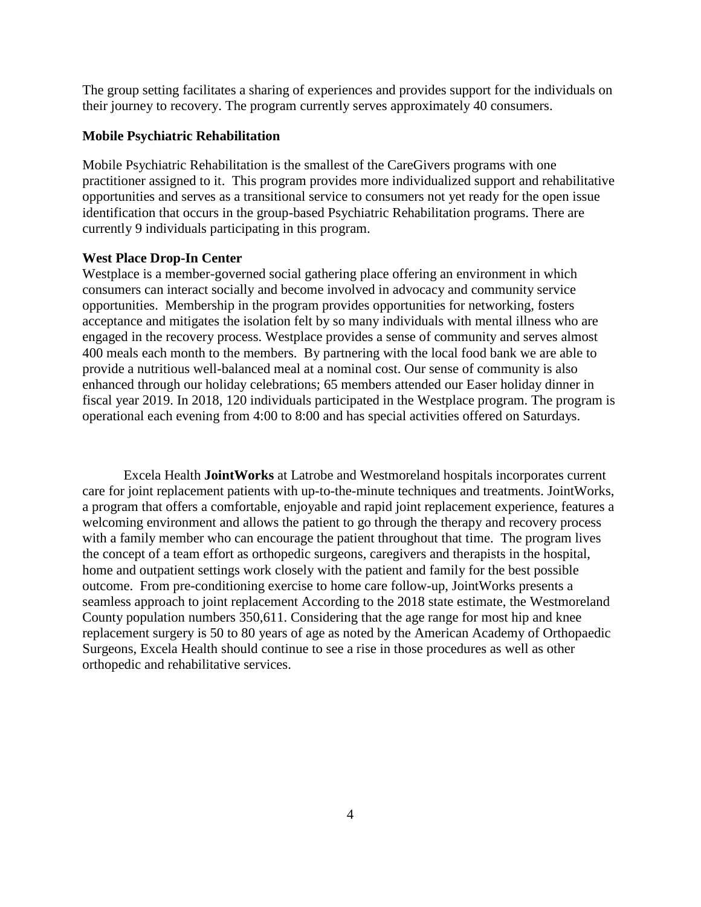The group setting facilitates a sharing of experiences and provides support for the individuals on their journey to recovery. The program currently serves approximately 40 consumers.

#### **Mobile Psychiatric Rehabilitation**

Mobile Psychiatric Rehabilitation is the smallest of the CareGivers programs with one practitioner assigned to it. This program provides more individualized support and rehabilitative opportunities and serves as a transitional service to consumers not yet ready for the open issue identification that occurs in the group-based Psychiatric Rehabilitation programs. There are currently 9 individuals participating in this program.

## **West Place Drop-In Center**

Westplace is a member-governed social gathering place offering an environment in which consumers can interact socially and become involved in advocacy and community service opportunities. Membership in the program provides opportunities for networking, fosters acceptance and mitigates the isolation felt by so many individuals with mental illness who are engaged in the recovery process. Westplace provides a sense of community and serves almost 400 meals each month to the members. By partnering with the local food bank we are able to provide a nutritious well-balanced meal at a nominal cost. Our sense of community is also enhanced through our holiday celebrations; 65 members attended our Easer holiday dinner in fiscal year 2019. In 2018, 120 individuals participated in the Westplace program. The program is operational each evening from 4:00 to 8:00 and has special activities offered on Saturdays.

Excela Health **JointWorks** at Latrobe and Westmoreland hospitals incorporates current care for joint replacement patients with up-to-the-minute techniques and treatments. JointWorks, a program that offers a comfortable, enjoyable and rapid joint replacement experience, features a welcoming environment and allows the patient to go through the therapy and recovery process with a family member who can encourage the patient throughout that time. The program lives the concept of a team effort as orthopedic surgeons, caregivers and therapists in the hospital, home and outpatient settings work closely with the patient and family for the best possible outcome. From pre-conditioning exercise to home care follow-up, JointWorks presents a seamless approach to joint replacement According to the 2018 state estimate, the Westmoreland County population numbers 350,611. Considering that the age range for most hip and knee replacement surgery is 50 to 80 years of age as noted by the American Academy of Orthopaedic Surgeons, Excela Health should continue to see a rise in those procedures as well as other orthopedic and rehabilitative services.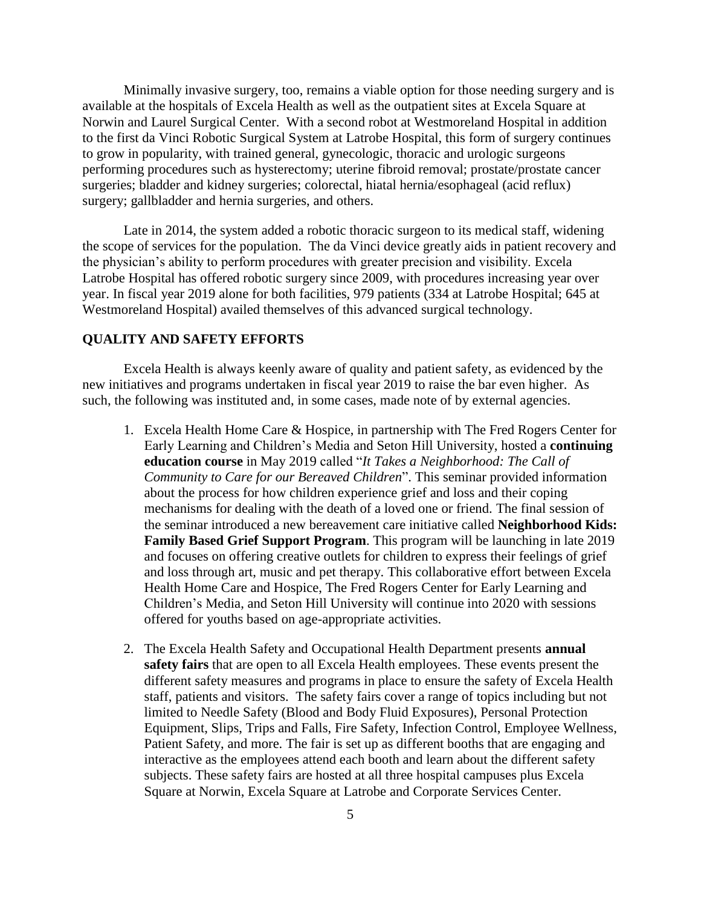Minimally invasive surgery, too, remains a viable option for those needing surgery and is available at the hospitals of Excela Health as well as the outpatient sites at Excela Square at Norwin and Laurel Surgical Center. With a second robot at Westmoreland Hospital in addition to the first da Vinci Robotic Surgical System at Latrobe Hospital, this form of surgery continues to grow in popularity, with trained general, gynecologic, thoracic and urologic surgeons performing procedures such as hysterectomy; uterine fibroid removal; prostate/prostate cancer surgeries; bladder and kidney surgeries; colorectal, hiatal hernia/esophageal (acid reflux) surgery; gallbladder and hernia surgeries, and others.

Late in 2014, the system added a robotic thoracic surgeon to its medical staff, widening the scope of services for the population. The da Vinci device greatly aids in patient recovery and the physician's ability to perform procedures with greater precision and visibility. Excela Latrobe Hospital has offered robotic surgery since 2009, with procedures increasing year over year. In fiscal year 2019 alone for both facilities, 979 patients (334 at Latrobe Hospital; 645 at Westmoreland Hospital) availed themselves of this advanced surgical technology.

## **QUALITY AND SAFETY EFFORTS**

Excela Health is always keenly aware of quality and patient safety, as evidenced by the new initiatives and programs undertaken in fiscal year 2019 to raise the bar even higher. As such, the following was instituted and, in some cases, made note of by external agencies.

- 1. Excela Health Home Care & Hospice, in partnership with The Fred Rogers Center for Early Learning and Children's Media and Seton Hill University, hosted a **continuing education course** in May 2019 called "*It Takes a Neighborhood: The Call of Community to Care for our Bereaved Children*". This seminar provided information about the process for how children experience grief and loss and their coping mechanisms for dealing with the death of a loved one or friend. The final session of the seminar introduced a new bereavement care initiative called **Neighborhood Kids: Family Based Grief Support Program**. This program will be launching in late 2019 and focuses on offering creative outlets for children to express their feelings of grief and loss through art, music and pet therapy. This collaborative effort between Excela Health Home Care and Hospice, The Fred Rogers Center for Early Learning and Children's Media, and Seton Hill University will continue into 2020 with sessions offered for youths based on age-appropriate activities.
- 2. The Excela Health Safety and Occupational Health Department presents **annual safety fairs** that are open to all Excela Health employees. These events present the different safety measures and programs in place to ensure the safety of Excela Health staff, patients and visitors. The safety fairs cover a range of topics including but not limited to Needle Safety (Blood and Body Fluid Exposures), Personal Protection Equipment, Slips, Trips and Falls, Fire Safety, Infection Control, Employee Wellness, Patient Safety, and more. The fair is set up as different booths that are engaging and interactive as the employees attend each booth and learn about the different safety subjects. These safety fairs are hosted at all three hospital campuses plus Excela Square at Norwin, Excela Square at Latrobe and Corporate Services Center.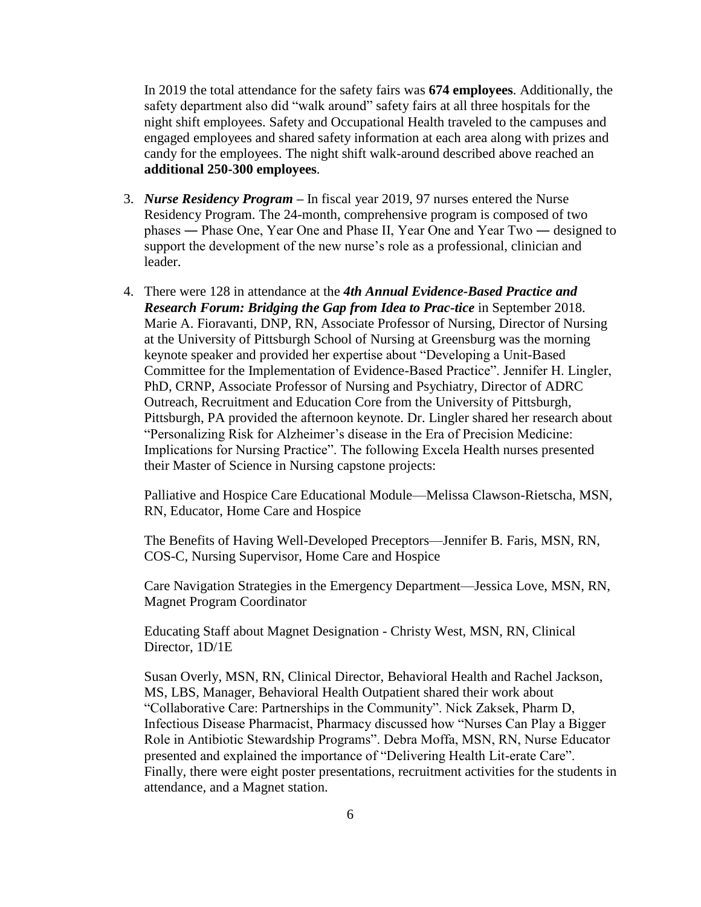In 2019 the total attendance for the safety fairs was **674 employees**. Additionally, the safety department also did "walk around" safety fairs at all three hospitals for the night shift employees. Safety and Occupational Health traveled to the campuses and engaged employees and shared safety information at each area along with prizes and candy for the employees. The night shift walk-around described above reached an **additional 250-300 employees**.

- 3. *Nurse Residency Program* **–** In fiscal year 2019, 97 nurses entered the Nurse Residency Program. The 24-month, comprehensive program is composed of two phases ― Phase One, Year One and Phase II, Year One and Year Two ― designed to support the development of the new nurse's role as a professional, clinician and leader.
- 4. There were 128 in attendance at the *4th Annual Evidence-Based Practice and Research Forum: Bridging the Gap from Idea to Prac-tice* in September 2018. Marie A. Fioravanti, DNP, RN, Associate Professor of Nursing, Director of Nursing at the University of Pittsburgh School of Nursing at Greensburg was the morning keynote speaker and provided her expertise about "Developing a Unit-Based Committee for the Implementation of Evidence-Based Practice". Jennifer H. Lingler, PhD, CRNP, Associate Professor of Nursing and Psychiatry, Director of ADRC Outreach, Recruitment and Education Core from the University of Pittsburgh, Pittsburgh, PA provided the afternoon keynote. Dr. Lingler shared her research about "Personalizing Risk for Alzheimer's disease in the Era of Precision Medicine: Implications for Nursing Practice". The following Excela Health nurses presented their Master of Science in Nursing capstone projects:

Palliative and Hospice Care Educational Module—Melissa Clawson-Rietscha, MSN, RN, Educator, Home Care and Hospice

The Benefits of Having Well-Developed Preceptors—Jennifer B. Faris, MSN, RN, COS-C, Nursing Supervisor, Home Care and Hospice

Care Navigation Strategies in the Emergency Department—Jessica Love, MSN, RN, Magnet Program Coordinator

Educating Staff about Magnet Designation - Christy West, MSN, RN, Clinical Director, 1D/1E

Susan Overly, MSN, RN, Clinical Director, Behavioral Health and Rachel Jackson, MS, LBS, Manager, Behavioral Health Outpatient shared their work about "Collaborative Care: Partnerships in the Community". Nick Zaksek, Pharm D, Infectious Disease Pharmacist, Pharmacy discussed how "Nurses Can Play a Bigger Role in Antibiotic Stewardship Programs". Debra Moffa, MSN, RN, Nurse Educator presented and explained the importance of "Delivering Health Lit-erate Care". Finally, there were eight poster presentations, recruitment activities for the students in attendance, and a Magnet station.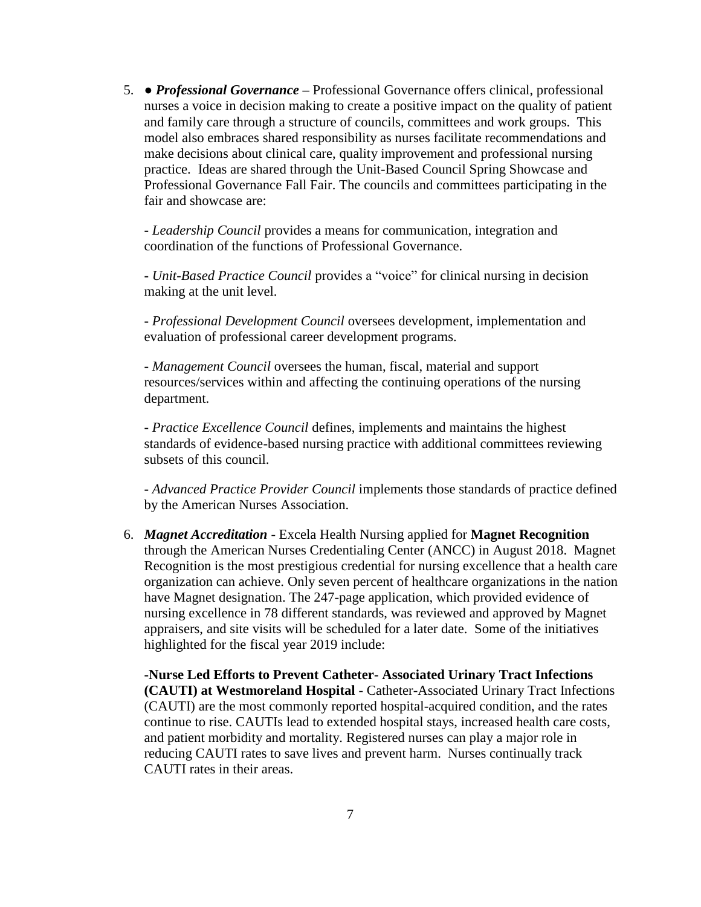5. **●** *Professional Governance* **–** Professional Governance offers clinical, professional nurses a voice in decision making to create a positive impact on the quality of patient and family care through a structure of councils, committees and work groups. This model also embraces shared responsibility as nurses facilitate recommendations and make decisions about clinical care, quality improvement and professional nursing practice. Ideas are shared through the Unit-Based Council Spring Showcase and Professional Governance Fall Fair. The councils and committees participating in the fair and showcase are:

**-** *Leadership Council* provides a means for communication, integration and coordination of the functions of Professional Governance.

**-** *Unit-Based Practice Council* provides a "voice" for clinical nursing in decision making at the unit level.

**-** *Professional Development Council* oversees development, implementation and evaluation of professional career development programs.

**-** *Management Council* oversees the human, fiscal, material and support resources/services within and affecting the continuing operations of the nursing department.

**-** *Practice Excellence Council* defines, implements and maintains the highest standards of evidence-based nursing practice with additional committees reviewing subsets of this council.

**-** *Advanced Practice Provider Council* implements those standards of practice defined by the American Nurses Association.

6. *Magnet Accreditation* - Excela Health Nursing applied for **Magnet Recognition** through the American Nurses Credentialing Center (ANCC) in August 2018. Magnet Recognition is the most prestigious credential for nursing excellence that a health care organization can achieve. Only seven percent of healthcare organizations in the nation have Magnet designation. The 247-page application, which provided evidence of nursing excellence in 78 different standards, was reviewed and approved by Magnet appraisers, and site visits will be scheduled for a later date. Some of the initiatives highlighted for the fiscal year 2019 include:

**-Nurse Led Efforts to Prevent Catheter- Associated Urinary Tract Infections (CAUTI) at Westmoreland Hospital** - Catheter-Associated Urinary Tract Infections (CAUTI) are the most commonly reported hospital-acquired condition, and the rates continue to rise. CAUTIs lead to extended hospital stays, increased health care costs, and patient morbidity and mortality. Registered nurses can play a major role in reducing CAUTI rates to save lives and prevent harm. Nurses continually track CAUTI rates in their areas.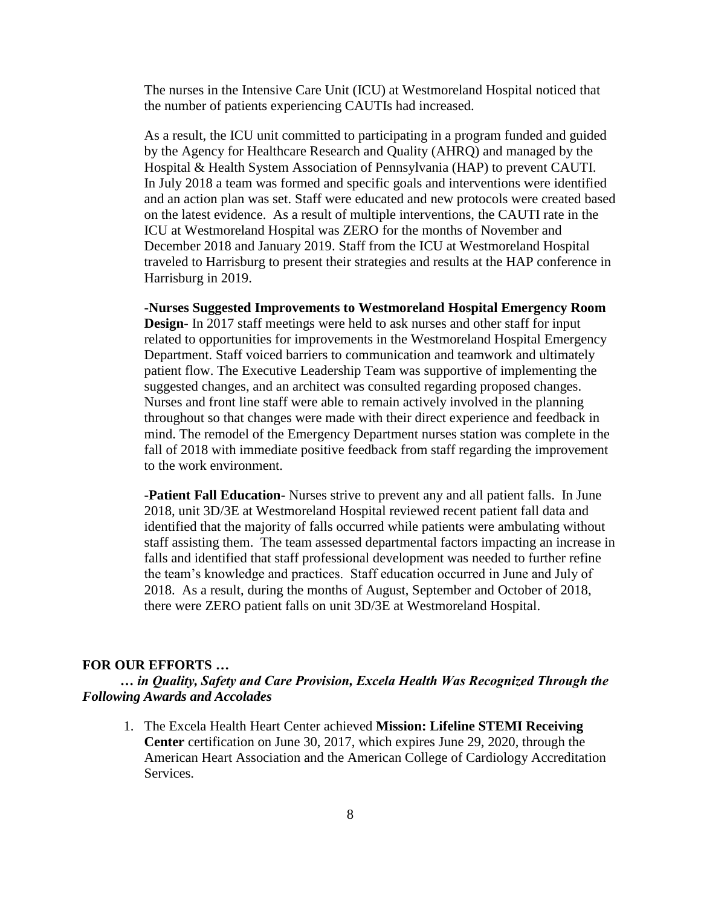The nurses in the Intensive Care Unit (ICU) at Westmoreland Hospital noticed that the number of patients experiencing CAUTIs had increased.

As a result, the ICU unit committed to participating in a program funded and guided by the Agency for Healthcare Research and Quality (AHRQ) and managed by the Hospital & Health System Association of Pennsylvania (HAP) to prevent CAUTI. In July 2018 a team was formed and specific goals and interventions were identified and an action plan was set. Staff were educated and new protocols were created based on the latest evidence. As a result of multiple interventions, the CAUTI rate in the ICU at Westmoreland Hospital was ZERO for the months of November and December 2018 and January 2019. Staff from the ICU at Westmoreland Hospital traveled to Harrisburg to present their strategies and results at the HAP conference in Harrisburg in 2019.

**-Nurses Suggested Improvements to Westmoreland Hospital Emergency Room Design**- In 2017 staff meetings were held to ask nurses and other staff for input related to opportunities for improvements in the Westmoreland Hospital Emergency Department. Staff voiced barriers to communication and teamwork and ultimately patient flow. The Executive Leadership Team was supportive of implementing the suggested changes, and an architect was consulted regarding proposed changes. Nurses and front line staff were able to remain actively involved in the planning throughout so that changes were made with their direct experience and feedback in mind. The remodel of the Emergency Department nurses station was complete in the fall of 2018 with immediate positive feedback from staff regarding the improvement to the work environment.

**-Patient Fall Education-** Nurses strive to prevent any and all patient falls. In June 2018, unit 3D/3E at Westmoreland Hospital reviewed recent patient fall data and identified that the majority of falls occurred while patients were ambulating without staff assisting them. The team assessed departmental factors impacting an increase in falls and identified that staff professional development was needed to further refine the team's knowledge and practices. Staff education occurred in June and July of 2018. As a result, during the months of August, September and October of 2018, there were ZERO patient falls on unit 3D/3E at Westmoreland Hospital.

#### **FOR OUR EFFORTS …**

 *… in Quality, Safety and Care Provision, Excela Health Was Recognized Through the Following Awards and Accolades*

1. The Excela Health Heart Center achieved **Mission: Lifeline STEMI Receiving Center** certification on June 30, 2017, which expires June 29, 2020, through the American Heart Association and the American College of Cardiology Accreditation Services.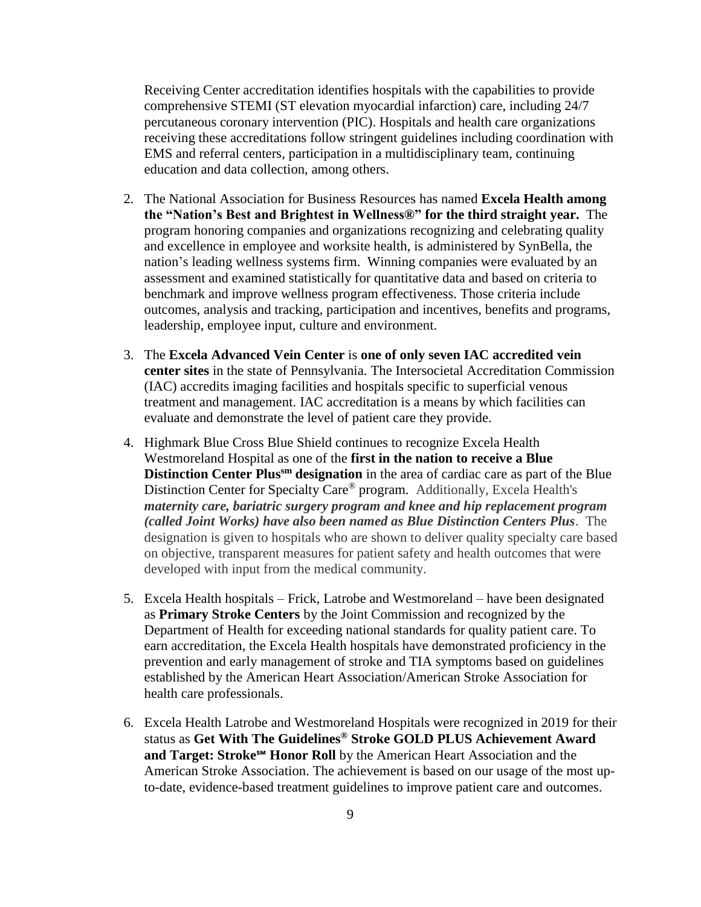Receiving Center accreditation identifies hospitals with the capabilities to provide comprehensive STEMI (ST elevation myocardial infarction) care, including 24/7 percutaneous coronary intervention (PIC). Hospitals and health care organizations receiving these accreditations follow stringent guidelines including coordination with EMS and referral centers, participation in a multidisciplinary team, continuing education and data collection, among others.

- 2. The National Association for Business Resources has named **Excela Health among the "Nation's Best and Brightest in Wellness®" for the third straight year.** The program honoring companies and organizations recognizing and celebrating quality and excellence in employee and worksite health, is administered by SynBella, the nation's leading wellness systems firm. Winning companies were evaluated by an assessment and examined statistically for quantitative data and based on criteria to benchmark and improve wellness program effectiveness. Those criteria include outcomes, analysis and tracking, participation and incentives, benefits and programs, leadership, employee input, culture and environment.
- 3. The **Excela Advanced Vein Center** is **one of only seven IAC accredited vein center sites** in the state of Pennsylvania. The Intersocietal Accreditation Commission (IAC) accredits imaging facilities and hospitals specific to superficial venous treatment and management. IAC accreditation is a means by which facilities can evaluate and demonstrate the level of patient care they provide.
- 4. Highmark Blue Cross Blue Shield continues to recognize Excela Health Westmoreland Hospital as one of the **first in the nation to receive a Blue Distinction Center Plus<sup>sm</sup> designation** in the area of cardiac care as part of the Blue Distinction Center for Specialty Care® program. Additionally, Excela Health's *maternity care, bariatric surgery program and knee and hip replacement program (called Joint Works) have also been named as Blue Distinction Centers Plus*. The designation is given to hospitals who are shown to deliver quality specialty care based on objective, transparent measures for patient safety and health outcomes that were developed with input from the medical community.
- 5. Excela Health hospitals Frick, Latrobe and Westmoreland have been designated as **Primary Stroke Centers** by the Joint Commission and recognized by the Department of Health for exceeding national standards for quality patient care. To earn accreditation, the Excela Health hospitals have demonstrated proficiency in the prevention and early management of stroke and TIA symptoms based on guidelines established by the American Heart Association/American Stroke Association for health care professionals.
- 6. Excela Health Latrobe and Westmoreland Hospitals were recognized in 2019 for their status as **Get With The Guidelines® Stroke GOLD PLUS Achievement Award and Target: Stroke℠ Honor Roll** by the American Heart Association and the American Stroke Association. The achievement is based on our usage of the most upto-date, evidence-based treatment guidelines to improve patient care and outcomes.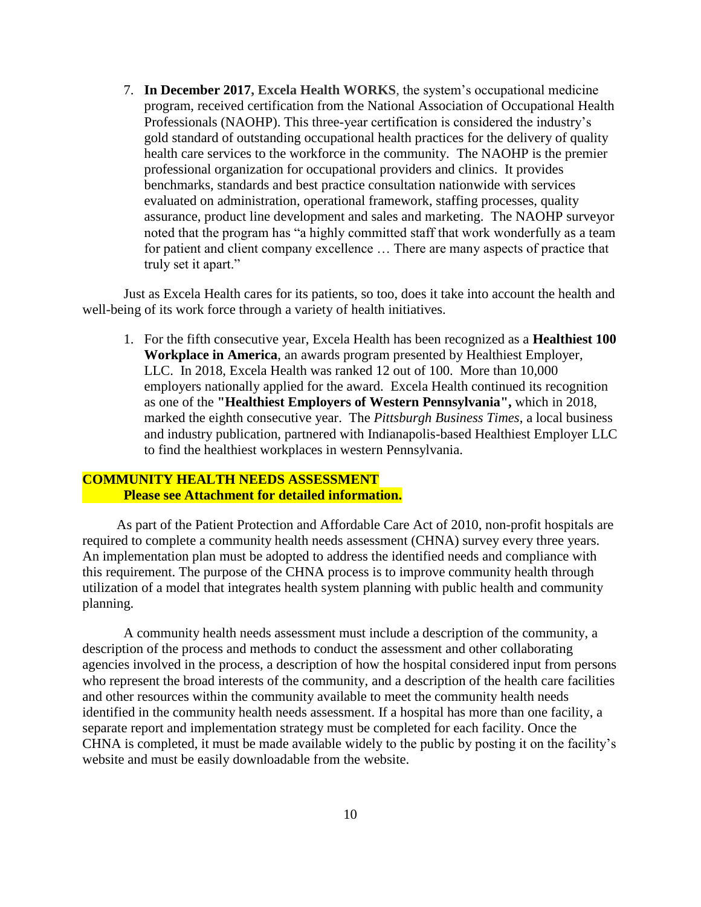7. **In December 2017, Excela Health WORKS**, the system's occupational medicine program, received certification from the National Association of Occupational Health Professionals (NAOHP). This three-year certification is considered the industry's gold standard of outstanding occupational health practices for the delivery of quality health care services to the workforce in the community. The NAOHP is the premier professional organization for occupational providers and clinics. It provides benchmarks, standards and best practice consultation nationwide with services evaluated on administration, operational framework, staffing processes, quality assurance, product line development and sales and marketing. The NAOHP surveyor noted that the program has "a highly committed staff that work wonderfully as a team for patient and client company excellence … There are many aspects of practice that truly set it apart."

Just as Excela Health cares for its patients, so too, does it take into account the health and well-being of its work force through a variety of health initiatives.

1. For the fifth consecutive year, Excela Health has been recognized as a **Healthiest 100 Workplace in America**, an awards program presented by Healthiest Employer, LLC. In 2018, Excela Health was ranked 12 out of 100. More than 10,000 employers nationally applied for the award. Excela Health continued its recognition as one of the **"Healthiest Employers of Western Pennsylvania",** which in 2018, marked the eighth consecutive year. The *Pittsburgh Business Times*, a local business and industry publication, partnered with Indianapolis-based Healthiest Employer LLC to find the healthiest workplaces in western Pennsylvania.

# **COMMUNITY HEALTH NEEDS ASSESSMENT Please see Attachment for detailed information.**

As part of the Patient Protection and Affordable Care Act of 2010, non-profit hospitals are required to complete a community health needs assessment (CHNA) survey every three years. An implementation plan must be adopted to address the identified needs and compliance with this requirement. The purpose of the CHNA process is to improve community health through utilization of a model that integrates health system planning with public health and community planning.

A community health needs assessment must include a description of the community, a description of the process and methods to conduct the assessment and other collaborating agencies involved in the process, a description of how the hospital considered input from persons who represent the broad interests of the community, and a description of the health care facilities and other resources within the community available to meet the community health needs identified in the community health needs assessment. If a hospital has more than one facility, a separate report and implementation strategy must be completed for each facility. Once the CHNA is completed, it must be made available widely to the public by posting it on the facility's website and must be easily downloadable from the website.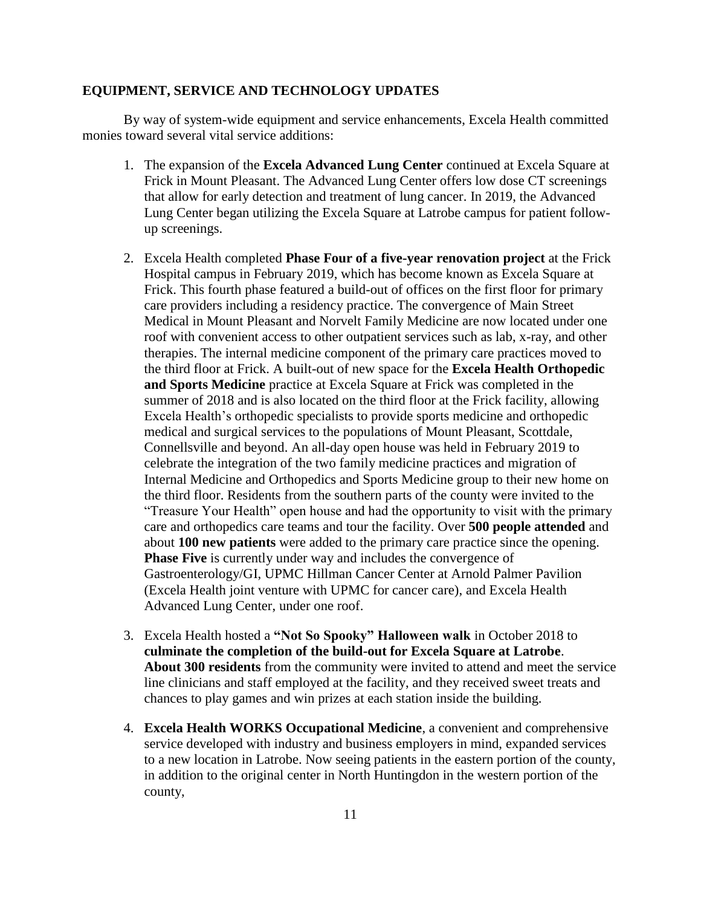#### **EQUIPMENT, SERVICE AND TECHNOLOGY UPDATES**

By way of system-wide equipment and service enhancements, Excela Health committed monies toward several vital service additions:

- 1. The expansion of the **Excela Advanced Lung Center** continued at Excela Square at Frick in Mount Pleasant. The Advanced Lung Center offers low dose CT screenings that allow for early detection and treatment of lung cancer. In 2019, the Advanced Lung Center began utilizing the Excela Square at Latrobe campus for patient followup screenings.
- 2. Excela Health completed **Phase Four of a five-year renovation project** at the Frick Hospital campus in February 2019, which has become known as Excela Square at Frick. This fourth phase featured a build-out of offices on the first floor for primary care providers including a residency practice. The convergence of Main Street Medical in Mount Pleasant and Norvelt Family Medicine are now located under one roof with convenient access to other outpatient services such as lab, x-ray, and other therapies. The internal medicine component of the primary care practices moved to the third floor at Frick. A built-out of new space for the **Excela Health Orthopedic and Sports Medicine** practice at Excela Square at Frick was completed in the summer of 2018 and is also located on the third floor at the Frick facility, allowing Excela Health's orthopedic specialists to provide sports medicine and orthopedic medical and surgical services to the populations of Mount Pleasant, Scottdale, Connellsville and beyond. An all-day open house was held in February 2019 to celebrate the integration of the two family medicine practices and migration of Internal Medicine and Orthopedics and Sports Medicine group to their new home on the third floor. Residents from the southern parts of the county were invited to the "Treasure Your Health" open house and had the opportunity to visit with the primary care and orthopedics care teams and tour the facility. Over **500 people attended** and about **100 new patients** were added to the primary care practice since the opening. **Phase Five** is currently under way and includes the convergence of Gastroenterology/GI, UPMC Hillman Cancer Center at Arnold Palmer Pavilion (Excela Health joint venture with UPMC for cancer care), and Excela Health Advanced Lung Center, under one roof.
- 3. Excela Health hosted a **"Not So Spooky" Halloween walk** in October 2018 to **culminate the completion of the build-out for Excela Square at Latrobe**. **About 300 residents** from the community were invited to attend and meet the service line clinicians and staff employed at the facility, and they received sweet treats and chances to play games and win prizes at each station inside the building.
- 4. **Excela Health WORKS Occupational Medicine**, a convenient and comprehensive service developed with industry and business employers in mind, expanded services to a new location in Latrobe. Now seeing patients in the eastern portion of the county, in addition to the original center in North Huntingdon in the western portion of the county,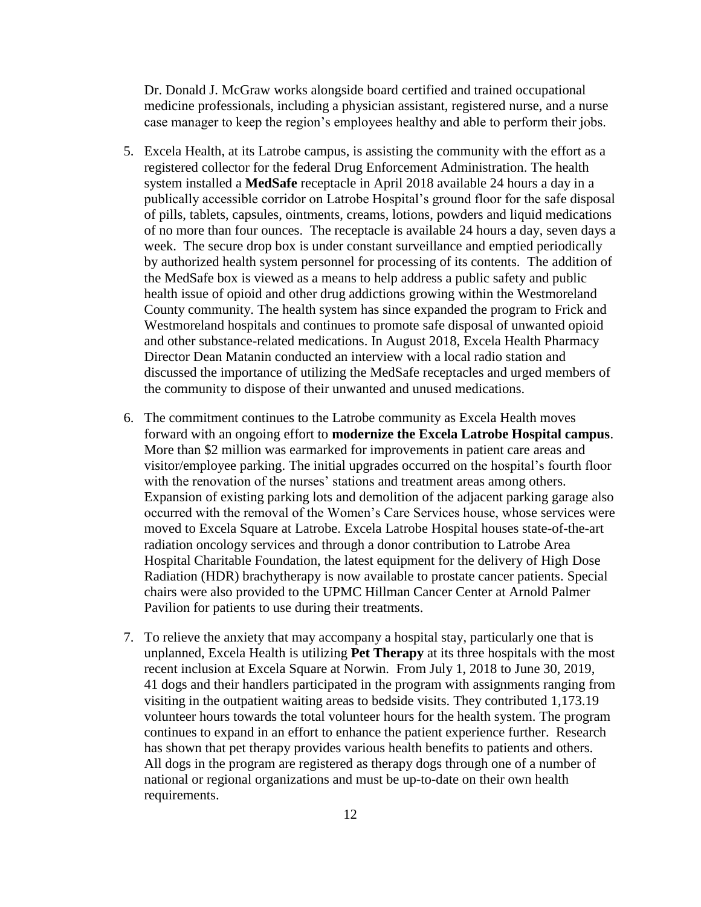Dr. Donald J. McGraw works alongside board certified and trained occupational medicine professionals, including a physician assistant, registered nurse, and a nurse case manager to keep the region's employees healthy and able to perform their jobs.

- 5. Excela Health, at its Latrobe campus, is assisting the community with the effort as a registered collector for the federal Drug Enforcement Administration. The health system installed a **MedSafe** receptacle in April 2018 available 24 hours a day in a publically accessible corridor on Latrobe Hospital's ground floor for the safe disposal of pills, tablets, capsules, ointments, creams, lotions, powders and liquid medications of no more than four ounces. The receptacle is available 24 hours a day, seven days a week. The secure drop box is under constant surveillance and emptied periodically by authorized health system personnel for processing of its contents. The addition of the MedSafe box is viewed as a means to help address a public safety and public health issue of opioid and other drug addictions growing within the Westmoreland County community. The health system has since expanded the program to Frick and Westmoreland hospitals and continues to promote safe disposal of unwanted opioid and other substance-related medications. In August 2018, Excela Health Pharmacy Director Dean Matanin conducted an interview with a local radio station and discussed the importance of utilizing the MedSafe receptacles and urged members of the community to dispose of their unwanted and unused medications.
- 6. The commitment continues to the Latrobe community as Excela Health moves forward with an ongoing effort to **modernize the Excela Latrobe Hospital campus**. More than \$2 million was earmarked for improvements in patient care areas and visitor/employee parking. The initial upgrades occurred on the hospital's fourth floor with the renovation of the nurses' stations and treatment areas among others. Expansion of existing parking lots and demolition of the adjacent parking garage also occurred with the removal of the Women's Care Services house, whose services were moved to Excela Square at Latrobe. Excela Latrobe Hospital houses state-of-the-art radiation oncology services and through a donor contribution to Latrobe Area Hospital Charitable Foundation, the latest equipment for the delivery of High Dose Radiation (HDR) brachytherapy is now available to prostate cancer patients. Special chairs were also provided to the UPMC Hillman Cancer Center at Arnold Palmer Pavilion for patients to use during their treatments.
- 7. To relieve the anxiety that may accompany a hospital stay, particularly one that is unplanned, Excela Health is utilizing **Pet Therapy** at its three hospitals with the most recent inclusion at Excela Square at Norwin. From July 1, 2018 to June 30, 2019, 41 dogs and their handlers participated in the program with assignments ranging from visiting in the outpatient waiting areas to bedside visits. They contributed 1,173.19 volunteer hours towards the total volunteer hours for the health system. The program continues to expand in an effort to enhance the patient experience further. Research has shown that pet therapy provides various health benefits to patients and others. All dogs in the program are registered as therapy dogs through one of a number of national or regional organizations and must be up-to-date on their own health requirements.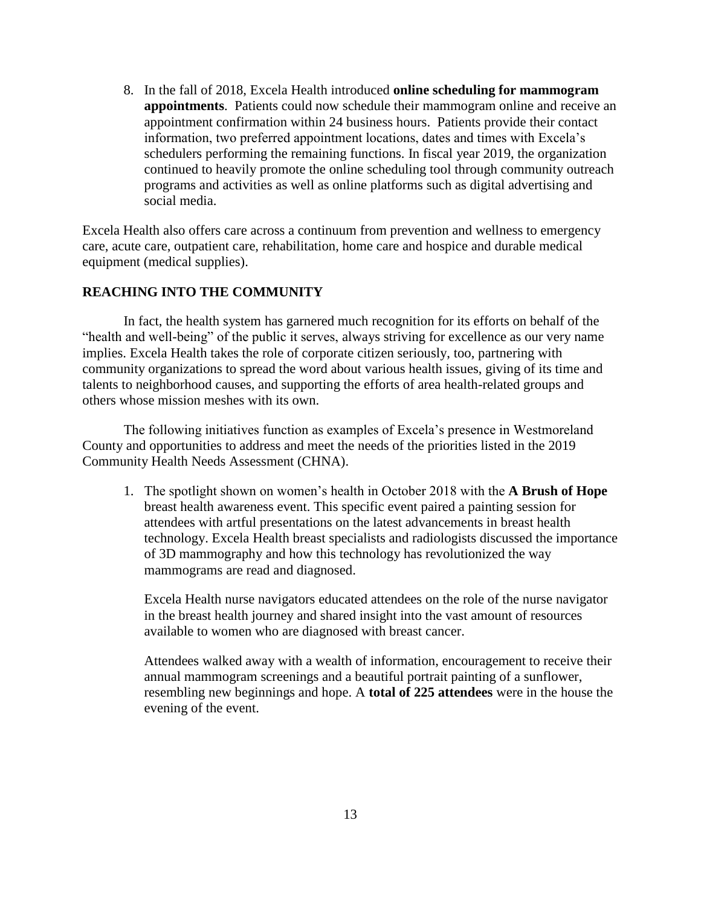8. In the fall of 2018, Excela Health introduced **online scheduling for mammogram appointments**. Patients could now schedule their mammogram online and receive an appointment confirmation within 24 business hours. Patients provide their contact information, two preferred appointment locations, dates and times with Excela's schedulers performing the remaining functions. In fiscal year 2019, the organization continued to heavily promote the online scheduling tool through community outreach programs and activities as well as online platforms such as digital advertising and social media.

Excela Health also offers care across a continuum from prevention and wellness to emergency care, acute care, outpatient care, rehabilitation, home care and hospice and durable medical equipment (medical supplies).

# **REACHING INTO THE COMMUNITY**

In fact, the health system has garnered much recognition for its efforts on behalf of the "health and well-being" of the public it serves, always striving for excellence as our very name implies. Excela Health takes the role of corporate citizen seriously, too, partnering with community organizations to spread the word about various health issues, giving of its time and talents to neighborhood causes, and supporting the efforts of area health-related groups and others whose mission meshes with its own.

The following initiatives function as examples of Excela's presence in Westmoreland County and opportunities to address and meet the needs of the priorities listed in the 2019 Community Health Needs Assessment (CHNA).

1. The spotlight shown on women's health in October 2018 with the **A Brush of Hope**  breast health awareness event. This specific event paired a painting session for attendees with artful presentations on the latest advancements in breast health technology. Excela Health breast specialists and radiologists discussed the importance of 3D mammography and how this technology has revolutionized the way mammograms are read and diagnosed.

Excela Health nurse navigators educated attendees on the role of the nurse navigator in the breast health journey and shared insight into the vast amount of resources available to women who are diagnosed with breast cancer.

Attendees walked away with a wealth of information, encouragement to receive their annual mammogram screenings and a beautiful portrait painting of a sunflower, resembling new beginnings and hope. A **total of 225 attendees** were in the house the evening of the event.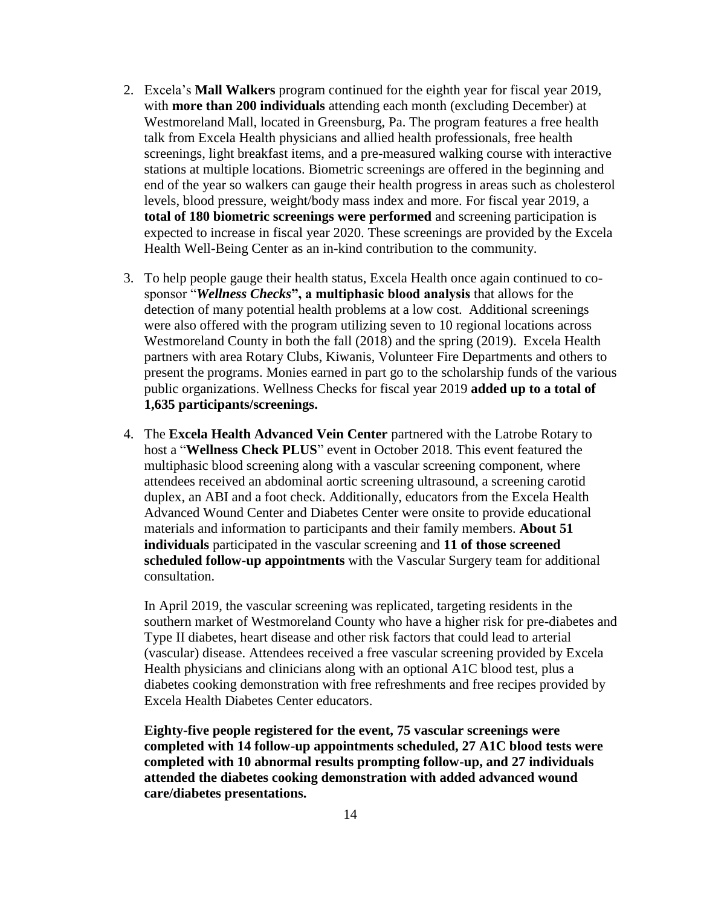- 2. Excela's **Mall Walkers** program continued for the eighth year for fiscal year 2019, with **more than 200 individuals** attending each month (excluding December) at Westmoreland Mall, located in Greensburg, Pa. The program features a free health talk from Excela Health physicians and allied health professionals, free health screenings, light breakfast items, and a pre-measured walking course with interactive stations at multiple locations. Biometric screenings are offered in the beginning and end of the year so walkers can gauge their health progress in areas such as cholesterol levels, blood pressure, weight/body mass index and more. For fiscal year 2019, a **total of 180 biometric screenings were performed** and screening participation is expected to increase in fiscal year 2020. These screenings are provided by the Excela Health Well-Being Center as an in-kind contribution to the community.
- 3. To help people gauge their health status, Excela Health once again continued to cosponsor "*Wellness Checks***", a multiphasic blood analysis** that allows for the detection of many potential health problems at a low cost. Additional screenings were also offered with the program utilizing seven to 10 regional locations across Westmoreland County in both the fall (2018) and the spring (2019). Excela Health partners with area Rotary Clubs, Kiwanis, Volunteer Fire Departments and others to present the programs. Monies earned in part go to the scholarship funds of the various public organizations. Wellness Checks for fiscal year 2019 **added up to a total of 1,635 participants/screenings.**
- 4. The **Excela Health Advanced Vein Center** partnered with the Latrobe Rotary to host a "**Wellness Check PLUS**" event in October 2018. This event featured the multiphasic blood screening along with a vascular screening component, where attendees received an abdominal aortic screening ultrasound, a screening carotid duplex, an ABI and a foot check. Additionally, educators from the Excela Health Advanced Wound Center and Diabetes Center were onsite to provide educational materials and information to participants and their family members. **About 51 individuals** participated in the vascular screening and **11 of those screened scheduled follow-up appointments** with the Vascular Surgery team for additional consultation.

In April 2019, the vascular screening was replicated, targeting residents in the southern market of Westmoreland County who have a higher risk for pre-diabetes and Type II diabetes, heart disease and other risk factors that could lead to arterial (vascular) disease. Attendees received a free vascular screening provided by Excela Health physicians and clinicians along with an optional A1C blood test, plus a diabetes cooking demonstration with free refreshments and free recipes provided by Excela Health Diabetes Center educators.

**Eighty-five people registered for the event, 75 vascular screenings were completed with 14 follow-up appointments scheduled, 27 A1C blood tests were completed with 10 abnormal results prompting follow-up, and 27 individuals attended the diabetes cooking demonstration with added advanced wound care/diabetes presentations.**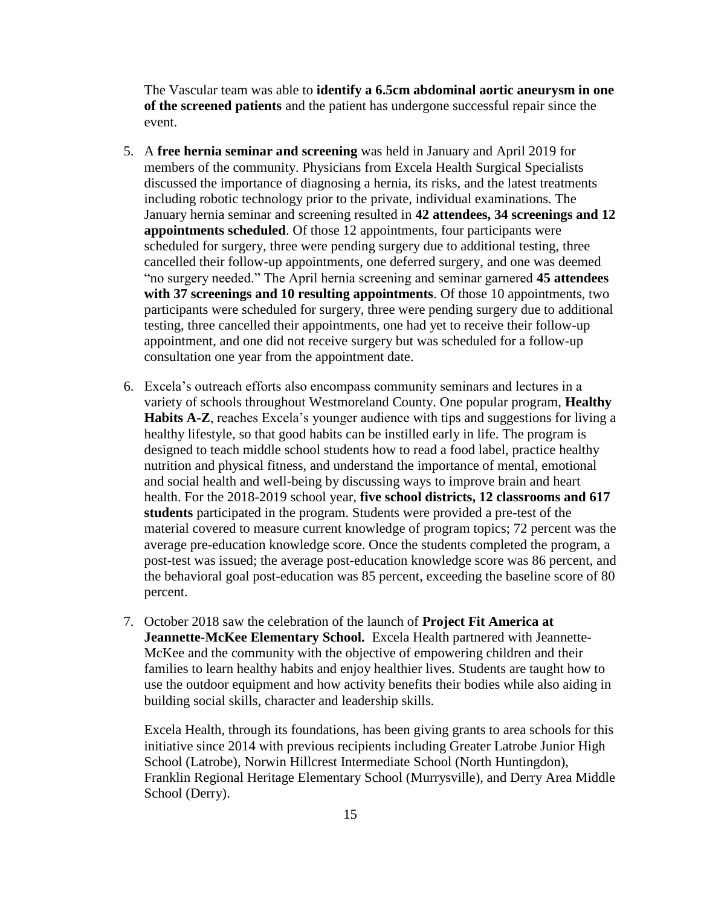The Vascular team was able to **identify a 6.5cm abdominal aortic aneurysm in one of the screened patients** and the patient has undergone successful repair since the event.

- 5. A **free hernia seminar and screening** was held in January and April 2019 for members of the community. Physicians from Excela Health Surgical Specialists discussed the importance of diagnosing a hernia, its risks, and the latest treatments including robotic technology prior to the private, individual examinations. The January hernia seminar and screening resulted in **42 attendees, 34 screenings and 12 appointments scheduled**. Of those 12 appointments, four participants were scheduled for surgery, three were pending surgery due to additional testing, three cancelled their follow-up appointments, one deferred surgery, and one was deemed "no surgery needed." The April hernia screening and seminar garnered **45 attendees with 37 screenings and 10 resulting appointments**. Of those 10 appointments, two participants were scheduled for surgery, three were pending surgery due to additional testing, three cancelled their appointments, one had yet to receive their follow-up appointment, and one did not receive surgery but was scheduled for a follow-up consultation one year from the appointment date.
- 6. Excela's outreach efforts also encompass community seminars and lectures in a variety of schools throughout Westmoreland County. One popular program, **Healthy Habits A-Z**, reaches Excela's younger audience with tips and suggestions for living a healthy lifestyle, so that good habits can be instilled early in life. The program is designed to teach middle school students how to read a food label, practice healthy nutrition and physical fitness, and understand the importance of mental, emotional and social health and well-being by discussing ways to improve brain and heart health. For the 2018-2019 school year, **five school districts, 12 classrooms and 617 students** participated in the program. Students were provided a pre-test of the material covered to measure current knowledge of program topics; 72 percent was the average pre-education knowledge score. Once the students completed the program, a post-test was issued; the average post-education knowledge score was 86 percent, and the behavioral goal post-education was 85 percent, exceeding the baseline score of 80 percent.
- 7. October 2018 saw the celebration of the launch of **Project Fit America at Jeannette-McKee Elementary School.** Excela Health partnered with Jeannette-McKee and the community with the objective of empowering children and their families to learn healthy habits and enjoy healthier lives. Students are taught how to use the outdoor equipment and how activity benefits their bodies while also aiding in building social skills, character and leadership skills.

Excela Health, through its foundations, has been giving grants to area schools for this initiative since 2014 with previous recipients including Greater Latrobe Junior High School (Latrobe), Norwin Hillcrest Intermediate School (North Huntingdon), Franklin Regional Heritage Elementary School (Murrysville), and Derry Area Middle School (Derry).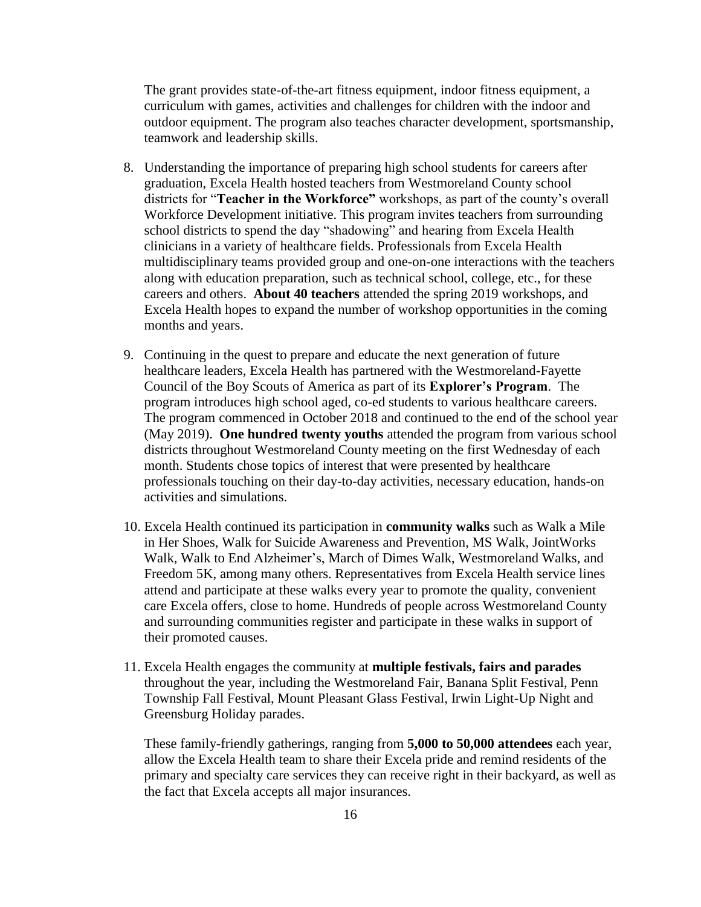The grant provides state-of-the-art fitness equipment, indoor fitness equipment, a curriculum with games, activities and challenges for children with the indoor and outdoor equipment. The program also teaches character development, sportsmanship, teamwork and leadership skills.

- 8. Understanding the importance of preparing high school students for careers after graduation, Excela Health hosted teachers from Westmoreland County school districts for "**Teacher in the Workforce"** workshops, as part of the county's overall Workforce Development initiative. This program invites teachers from surrounding school districts to spend the day "shadowing" and hearing from Excela Health clinicians in a variety of healthcare fields. Professionals from Excela Health multidisciplinary teams provided group and one-on-one interactions with the teachers along with education preparation, such as technical school, college, etc., for these careers and others. **About 40 teachers** attended the spring 2019 workshops, and Excela Health hopes to expand the number of workshop opportunities in the coming months and years.
- 9. Continuing in the quest to prepare and educate the next generation of future healthcare leaders, Excela Health has partnered with the Westmoreland-Fayette Council of the Boy Scouts of America as part of its **Explorer's Program**. The program introduces high school aged, co-ed students to various healthcare careers. The program commenced in October 2018 and continued to the end of the school year (May 2019). **One hundred twenty youths** attended the program from various school districts throughout Westmoreland County meeting on the first Wednesday of each month. Students chose topics of interest that were presented by healthcare professionals touching on their day-to-day activities, necessary education, hands-on activities and simulations.
- 10. Excela Health continued its participation in **community walks** such as Walk a Mile in Her Shoes, Walk for Suicide Awareness and Prevention, MS Walk, JointWorks Walk, Walk to End Alzheimer's, March of Dimes Walk, Westmoreland Walks, and Freedom 5K, among many others. Representatives from Excela Health service lines attend and participate at these walks every year to promote the quality, convenient care Excela offers, close to home. Hundreds of people across Westmoreland County and surrounding communities register and participate in these walks in support of their promoted causes.
- 11. Excela Health engages the community at **multiple festivals, fairs and parades** throughout the year, including the Westmoreland Fair, Banana Split Festival, Penn Township Fall Festival, Mount Pleasant Glass Festival, Irwin Light-Up Night and Greensburg Holiday parades.

These family-friendly gatherings, ranging from **5,000 to 50,000 attendees** each year, allow the Excela Health team to share their Excela pride and remind residents of the primary and specialty care services they can receive right in their backyard, as well as the fact that Excela accepts all major insurances.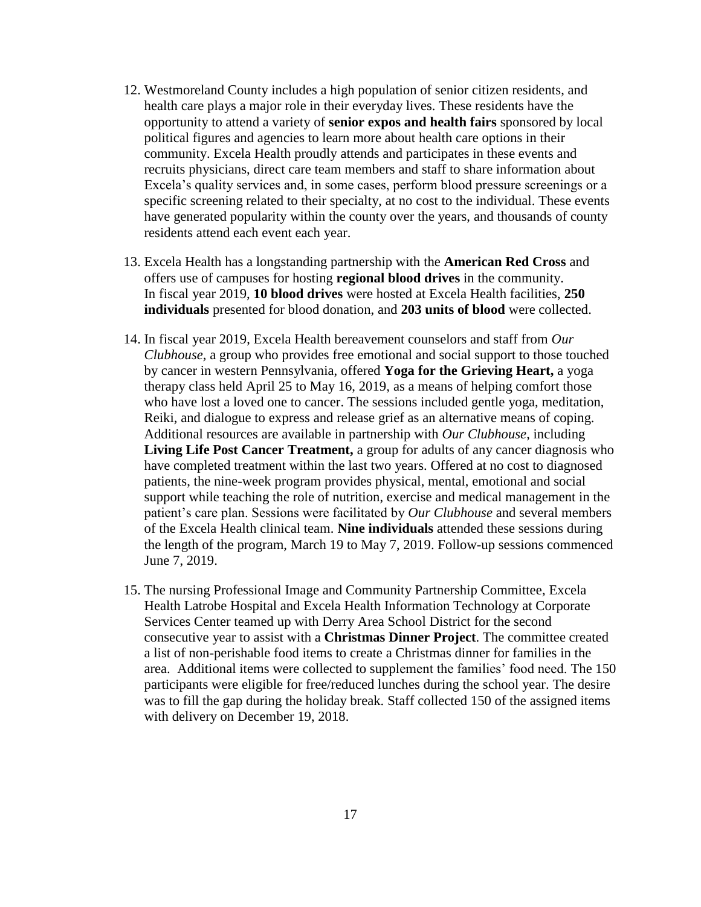- 12. Westmoreland County includes a high population of senior citizen residents, and health care plays a major role in their everyday lives. These residents have the opportunity to attend a variety of **senior expos and health fairs** sponsored by local political figures and agencies to learn more about health care options in their community. Excela Health proudly attends and participates in these events and recruits physicians, direct care team members and staff to share information about Excela's quality services and, in some cases, perform blood pressure screenings or a specific screening related to their specialty, at no cost to the individual. These events have generated popularity within the county over the years, and thousands of county residents attend each event each year.
- 13. Excela Health has a longstanding partnership with the **American Red Cross** and offers use of campuses for hosting **regional blood drives** in the community. In fiscal year 2019, **10 blood drives** were hosted at Excela Health facilities, **250 individuals** presented for blood donation, and **203 units of blood** were collected.
- 14. In fiscal year 2019, Excela Health bereavement counselors and staff from *Our Clubhouse,* a group who provides free emotional and social support to those touched by cancer in western Pennsylvania, offered **Yoga for the Grieving Heart,** a yoga therapy class held April 25 to May 16, 2019, as a means of helping comfort those who have lost a loved one to cancer. The sessions included gentle yoga, meditation, Reiki, and dialogue to express and release grief as an alternative means of coping. Additional resources are available in partnership with *Our Clubhouse*, including **Living Life Post Cancer Treatment,** a group for adults of any cancer diagnosis who have completed treatment within the last two years. Offered at no cost to diagnosed patients, the nine-week program provides physical, mental, emotional and social support while teaching the role of nutrition, exercise and medical management in the patient's care plan. Sessions were facilitated by *Our Clubhouse* and several members of the Excela Health clinical team. **Nine individuals** attended these sessions during the length of the program, March 19 to May 7, 2019. Follow-up sessions commenced June 7, 2019.
- 15. The nursing Professional Image and Community Partnership Committee, Excela Health Latrobe Hospital and Excela Health Information Technology at Corporate Services Center teamed up with Derry Area School District for the second consecutive year to assist with a **Christmas Dinner Project**. The committee created a list of non-perishable food items to create a Christmas dinner for families in the area. Additional items were collected to supplement the families' food need. The 150 participants were eligible for free/reduced lunches during the school year. The desire was to fill the gap during the holiday break. Staff collected 150 of the assigned items with delivery on December 19, 2018.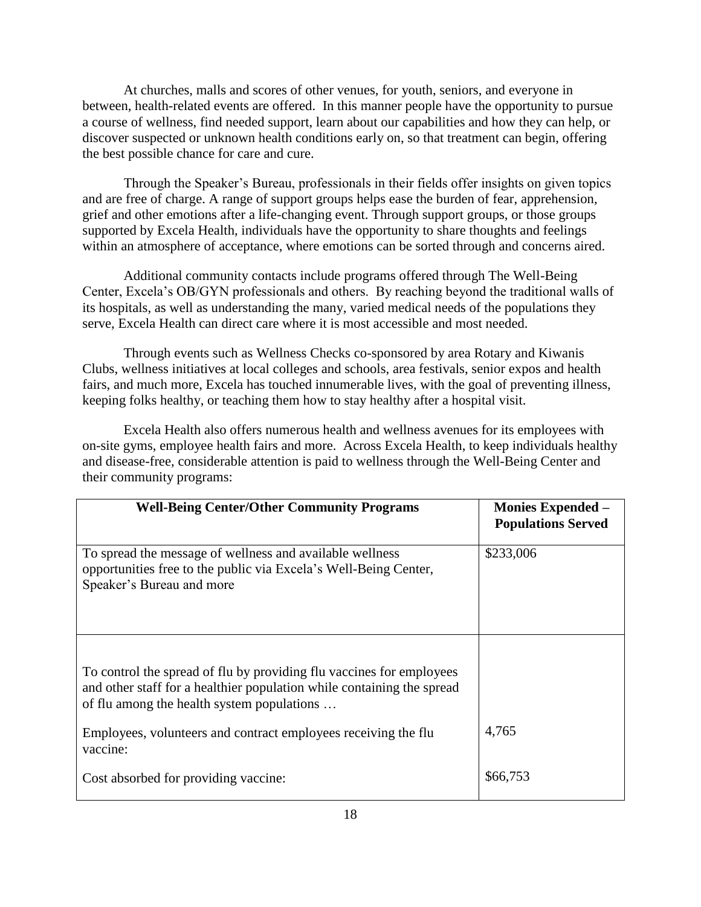At churches, malls and scores of other venues, for youth, seniors, and everyone in between, health-related events are offered. In this manner people have the opportunity to pursue a course of wellness, find needed support, learn about our capabilities and how they can help, or discover suspected or unknown health conditions early on, so that treatment can begin, offering the best possible chance for care and cure.

Through the Speaker's Bureau, professionals in their fields offer insights on given topics and are free of charge. A range of support groups helps ease the burden of fear, apprehension, grief and other emotions after a life-changing event. Through support groups, or those groups supported by Excela Health, individuals have the opportunity to share thoughts and feelings within an atmosphere of acceptance, where emotions can be sorted through and concerns aired.

Additional community contacts include programs offered through The Well-Being Center, Excela's OB/GYN professionals and others. By reaching beyond the traditional walls of its hospitals, as well as understanding the many, varied medical needs of the populations they serve, Excela Health can direct care where it is most accessible and most needed.

Through events such as Wellness Checks co-sponsored by area Rotary and Kiwanis Clubs, wellness initiatives at local colleges and schools, area festivals, senior expos and health fairs, and much more, Excela has touched innumerable lives, with the goal of preventing illness, keeping folks healthy, or teaching them how to stay healthy after a hospital visit.

Excela Health also offers numerous health and wellness avenues for its employees with on-site gyms, employee health fairs and more. Across Excela Health, to keep individuals healthy and disease-free, considerable attention is paid to wellness through the Well-Being Center and their community programs:

| <b>Well-Being Center/Other Community Programs</b>                                                                                                                                            | <b>Monies Expended -</b><br><b>Populations Served</b> |
|----------------------------------------------------------------------------------------------------------------------------------------------------------------------------------------------|-------------------------------------------------------|
| To spread the message of wellness and available wellness<br>opportunities free to the public via Excela's Well-Being Center,<br>Speaker's Bureau and more                                    | \$233,006                                             |
| To control the spread of flu by providing flu vaccines for employees<br>and other staff for a healthier population while containing the spread<br>of flu among the health system populations |                                                       |
| Employees, volunteers and contract employees receiving the flu<br>vaccine:                                                                                                                   | 4,765                                                 |
| Cost absorbed for providing vaccine:                                                                                                                                                         | \$66,753                                              |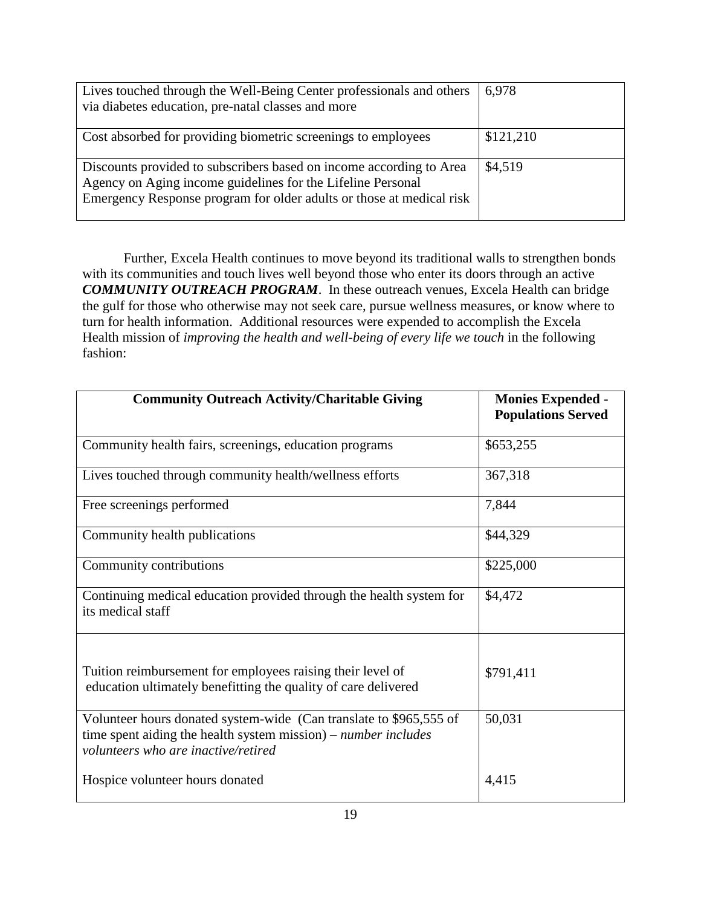| Lives touched through the Well-Being Center professionals and others<br>via diabetes education, pre-natal classes and more                                                                                 | 6,978     |
|------------------------------------------------------------------------------------------------------------------------------------------------------------------------------------------------------------|-----------|
| Cost absorbed for providing biometric screenings to employees                                                                                                                                              | \$121,210 |
| Discounts provided to subscribers based on income according to Area<br>Agency on Aging income guidelines for the Lifeline Personal<br>Emergency Response program for older adults or those at medical risk | \$4,519   |

 Further, Excela Health continues to move beyond its traditional walls to strengthen bonds with its communities and touch lives well beyond those who enter its doors through an active *COMMUNITY OUTREACH PROGRAM*. In these outreach venues, Excela Health can bridge the gulf for those who otherwise may not seek care, pursue wellness measures, or know where to turn for health information. Additional resources were expended to accomplish the Excela Health mission of *improving the health and well-being of every life we touch* in the following fashion:

| <b>Community Outreach Activity/Charitable Giving</b>                                                                                                                               | <b>Monies Expended -</b><br><b>Populations Served</b> |
|------------------------------------------------------------------------------------------------------------------------------------------------------------------------------------|-------------------------------------------------------|
| Community health fairs, screenings, education programs                                                                                                                             | \$653,255                                             |
| Lives touched through community health/wellness efforts                                                                                                                            | 367,318                                               |
| Free screenings performed                                                                                                                                                          | 7,844                                                 |
| Community health publications                                                                                                                                                      | \$44,329                                              |
| Community contributions                                                                                                                                                            | \$225,000                                             |
| Continuing medical education provided through the health system for<br>its medical staff                                                                                           | \$4,472                                               |
| Tuition reimbursement for employees raising their level of<br>education ultimately benefitting the quality of care delivered                                                       | \$791,411                                             |
| Volunteer hours donated system-wide (Can translate to \$965,555 of<br>time spent aiding the health system mission) – <i>number includes</i><br>volunteers who are inactive/retired | 50,031                                                |
| Hospice volunteer hours donated                                                                                                                                                    | 4,415                                                 |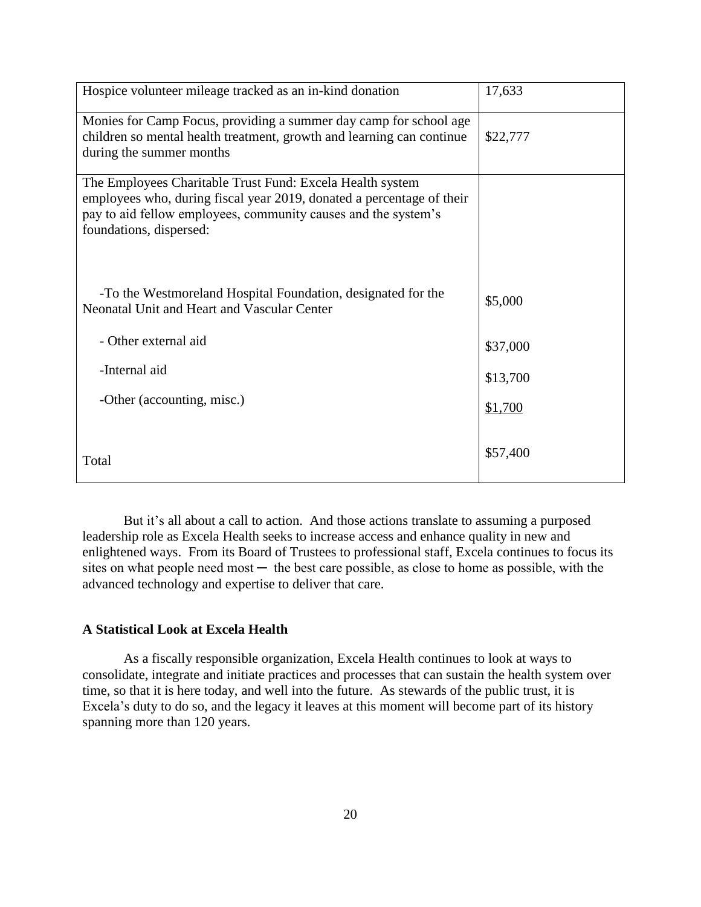| Hospice volunteer mileage tracked as an in-kind donation                                                                                                                                                                        | 17,633   |
|---------------------------------------------------------------------------------------------------------------------------------------------------------------------------------------------------------------------------------|----------|
| Monies for Camp Focus, providing a summer day camp for school age<br>children so mental health treatment, growth and learning can continue<br>during the summer months                                                          | \$22,777 |
| The Employees Charitable Trust Fund: Excela Health system<br>employees who, during fiscal year 2019, donated a percentage of their<br>pay to aid fellow employees, community causes and the system's<br>foundations, dispersed: |          |
| -To the Westmoreland Hospital Foundation, designated for the<br>Neonatal Unit and Heart and Vascular Center                                                                                                                     | \$5,000  |
| - Other external aid                                                                                                                                                                                                            | \$37,000 |
| -Internal aid                                                                                                                                                                                                                   | \$13,700 |
| -Other (accounting, misc.)                                                                                                                                                                                                      | \$1,700  |
| Total                                                                                                                                                                                                                           | \$57,400 |

But it's all about a call to action. And those actions translate to assuming a purposed leadership role as Excela Health seeks to increase access and enhance quality in new and enlightened ways. From its Board of Trustees to professional staff, Excela continues to focus its sites on what people need most  $-$  the best care possible, as close to home as possible, with the advanced technology and expertise to deliver that care.

# **A Statistical Look at Excela Health**

As a fiscally responsible organization, Excela Health continues to look at ways to consolidate, integrate and initiate practices and processes that can sustain the health system over time, so that it is here today, and well into the future. As stewards of the public trust, it is Excela's duty to do so, and the legacy it leaves at this moment will become part of its history spanning more than 120 years.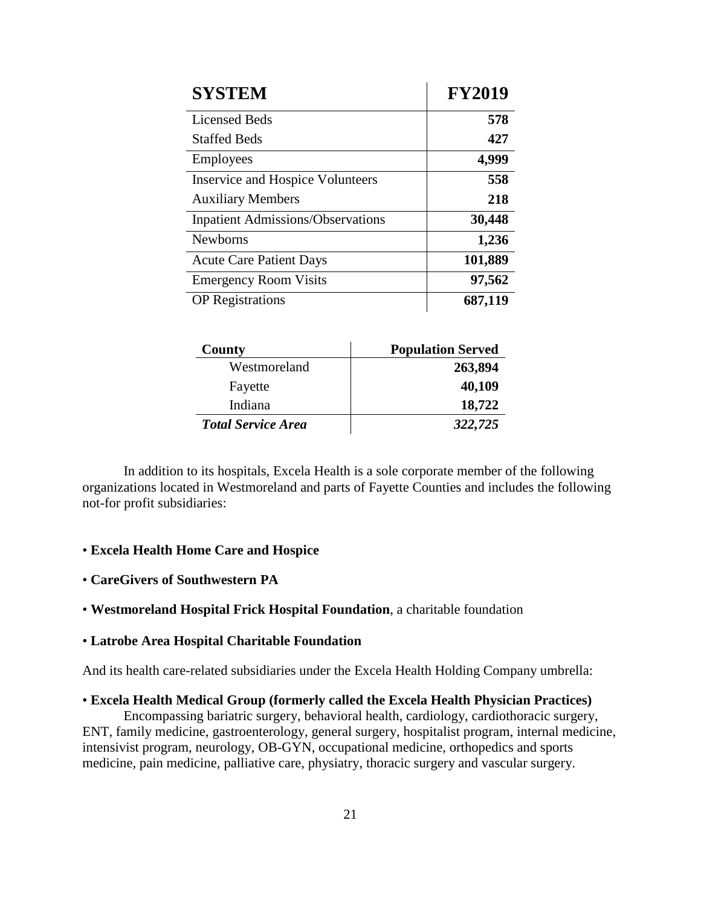| <b>SYSTEM</b>                            | <b>FY2019</b> |
|------------------------------------------|---------------|
| <b>Licensed Beds</b>                     | 578           |
| <b>Staffed Beds</b>                      | 427           |
| <b>Employees</b>                         | 4,999         |
| Inservice and Hospice Volunteers         | 558           |
| <b>Auxiliary Members</b>                 | 218           |
| <b>Inpatient Admissions/Observations</b> | 30,448        |
| Newborns                                 | 1,236         |
| <b>Acute Care Patient Days</b>           | 101,889       |
| <b>Emergency Room Visits</b>             | 97,562        |
| <b>OP</b> Registrations                  | 687,119       |

| County                    | <b>Population Served</b> |
|---------------------------|--------------------------|
| Westmoreland              | 263,894                  |
| Fayette                   | 40,109                   |
| Indiana                   | 18,722                   |
| <b>Total Service Area</b> | 322,725                  |

In addition to its hospitals, Excela Health is a sole corporate member of the following organizations located in Westmoreland and parts of Fayette Counties and includes the following not-for profit subsidiaries:

## • **Excela Health Home Care and Hospice**

# • **CareGivers of Southwestern PA**

• **Westmoreland Hospital Frick Hospital Foundation**, a charitable foundation

#### • **Latrobe Area Hospital Charitable Foundation**

And its health care-related subsidiaries under the Excela Health Holding Company umbrella:

## • **Excela Health Medical Group (formerly called the Excela Health Physician Practices)**

Encompassing bariatric surgery, behavioral health, cardiology, cardiothoracic surgery, ENT, family medicine, gastroenterology, general surgery, hospitalist program, internal medicine, intensivist program, neurology, OB-GYN, occupational medicine, orthopedics and sports medicine, pain medicine, palliative care, physiatry, thoracic surgery and vascular surgery.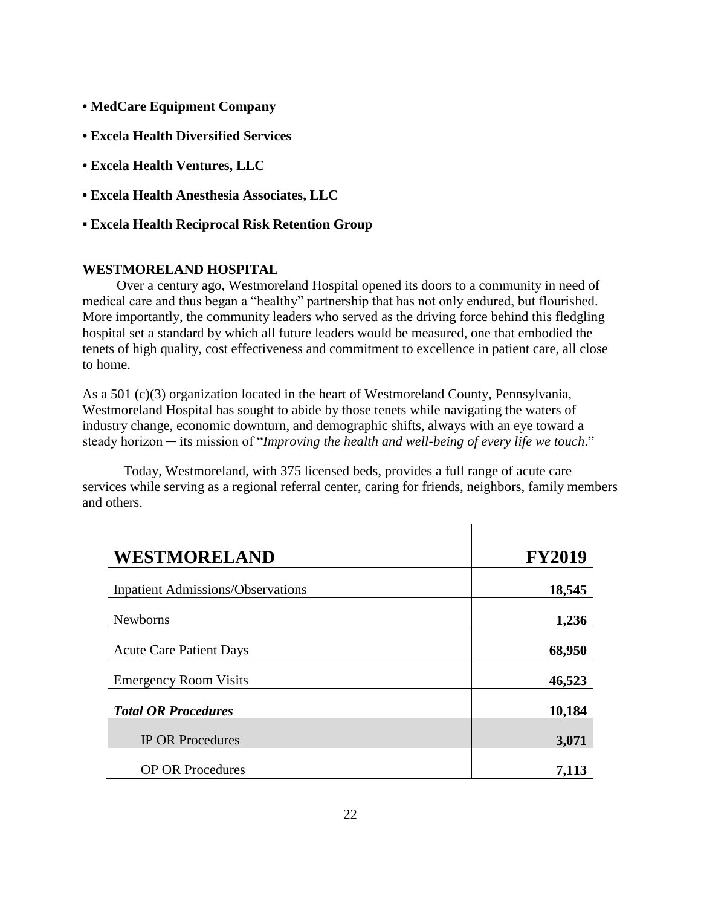- **MedCare Equipment Company**
- **Excela Health Diversified Services**
- **Excela Health Ventures, LLC**
- **• Excela Health Anesthesia Associates, LLC**
- **▪ Excela Health Reciprocal Risk Retention Group**

## **WESTMORELAND HOSPITAL**

 Over a century ago, Westmoreland Hospital opened its doors to a community in need of medical care and thus began a "healthy" partnership that has not only endured, but flourished. More importantly, the community leaders who served as the driving force behind this fledgling hospital set a standard by which all future leaders would be measured, one that embodied the tenets of high quality, cost effectiveness and commitment to excellence in patient care, all close to home.

As a 501 (c)(3) organization located in the heart of Westmoreland County, Pennsylvania, Westmoreland Hospital has sought to abide by those tenets while navigating the waters of industry change, economic downturn, and demographic shifts, always with an eye toward a steady horizon ─ its mission of "*Improving the health and well-being of every life we touch*."

Today, Westmoreland, with 375 licensed beds, provides a full range of acute care services while serving as a regional referral center, caring for friends, neighbors, family members and others.

| WESTMORELAND                             | <b>FY2019</b> |
|------------------------------------------|---------------|
| <b>Inpatient Admissions/Observations</b> | 18,545        |
| <b>Newborns</b>                          | 1,236         |
| <b>Acute Care Patient Days</b>           | 68,950        |
| <b>Emergency Room Visits</b>             | 46,523        |
| <b>Total OR Procedures</b>               | 10,184        |
| <b>IP OR Procedures</b>                  | 3,071         |
| <b>OP OR Procedures</b>                  | 7,113         |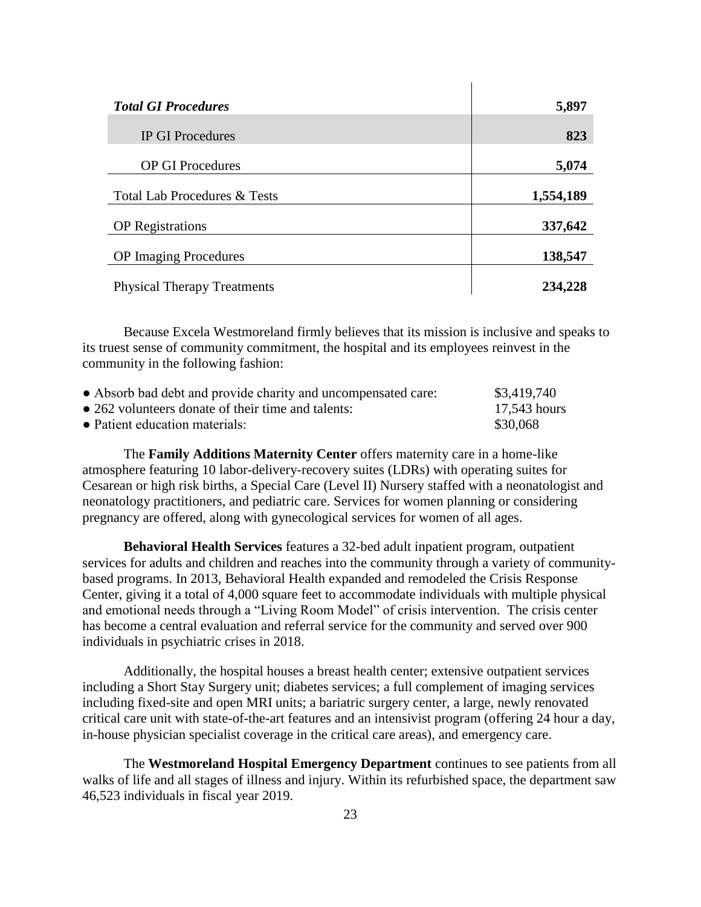| <b>Total GI Procedures</b>              | 5,897     |
|-----------------------------------------|-----------|
| <b>IP GI Procedures</b>                 | 823       |
| <b>OP GI Procedures</b>                 | 5,074     |
| <b>Total Lab Procedures &amp; Tests</b> | 1,554,189 |
| <b>OP</b> Registrations                 | 337,642   |
| <b>OP</b> Imaging Procedures            | 138,547   |
| <b>Physical Therapy Treatments</b>      | 234,228   |

 $\mathbf{I}$ 

Because Excela Westmoreland firmly believes that its mission is inclusive and speaks to its truest sense of community commitment, the hospital and its employees reinvest in the community in the following fashion:

| • Absorb bad debt and provide charity and uncompensated care: | \$3,419,740  |
|---------------------------------------------------------------|--------------|
| • 262 volunteers donate of their time and talents:            | 17,543 hours |
| • Patient education materials:                                | \$30,068     |

The **Family Additions Maternity Center** offers maternity care in a home-like atmosphere featuring 10 labor-delivery-recovery suites (LDRs) with operating suites for Cesarean or high risk births, a Special Care (Level II) Nursery staffed with a neonatologist and neonatology practitioners, and pediatric care. Services for women planning or considering pregnancy are offered, along with gynecological services for women of all ages.

**Behavioral Health Services** features a 32-bed adult inpatient program, outpatient services for adults and children and reaches into the community through a variety of communitybased programs. In 2013, Behavioral Health expanded and remodeled the Crisis Response Center, giving it a total of 4,000 square feet to accommodate individuals with multiple physical and emotional needs through a "Living Room Model" of crisis intervention. The crisis center has become a central evaluation and referral service for the community and served over 900 individuals in psychiatric crises in 2018.

Additionally, the hospital houses a breast health center; extensive outpatient services including a Short Stay Surgery unit; diabetes services; a full complement of imaging services including fixed-site and open MRI units; a bariatric surgery center, a large, newly renovated critical care unit with state-of-the-art features and an intensivist program (offering 24 hour a day, in-house physician specialist coverage in the critical care areas), and emergency care.

The **Westmoreland Hospital Emergency Department** continues to see patients from all walks of life and all stages of illness and injury. Within its refurbished space, the department saw 46,523 individuals in fiscal year 2019.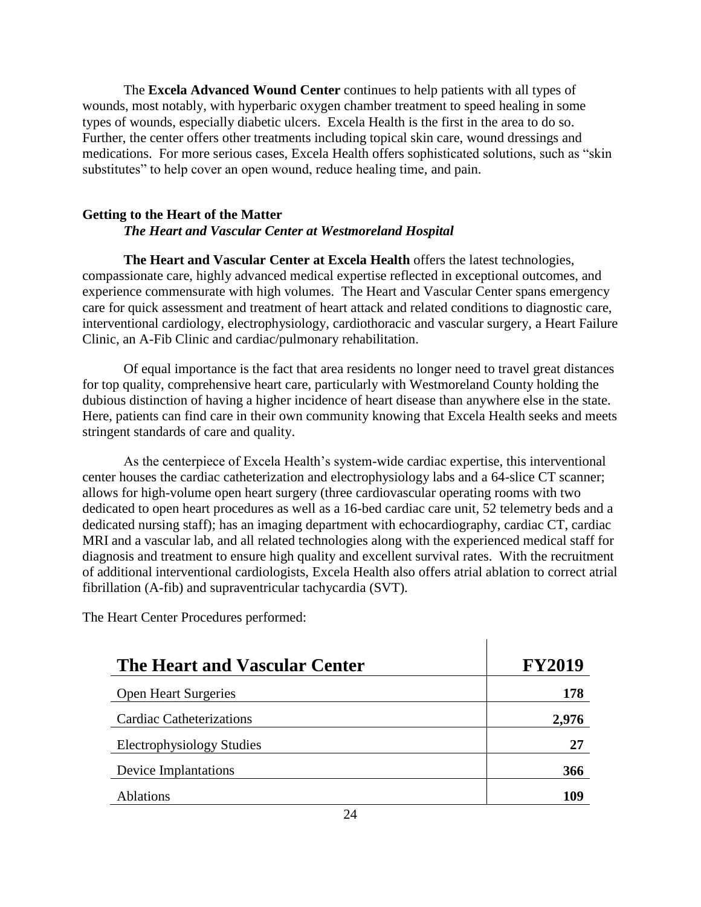The **Excela Advanced Wound Center** continues to help patients with all types of wounds, most notably, with hyperbaric oxygen chamber treatment to speed healing in some types of wounds, especially diabetic ulcers. Excela Health is the first in the area to do so. Further, the center offers other treatments including topical skin care, wound dressings and medications. For more serious cases, Excela Health offers sophisticated solutions, such as "skin substitutes" to help cover an open wound, reduce healing time, and pain.

# **Getting to the Heart of the Matter** *The Heart and Vascular Center at Westmoreland Hospital*

**The Heart and Vascular Center at Excela Health** offers the latest technologies, compassionate care, highly advanced medical expertise reflected in exceptional outcomes, and experience commensurate with high volumes. The Heart and Vascular Center spans emergency care for quick assessment and treatment of heart attack and related conditions to diagnostic care, interventional cardiology, electrophysiology, cardiothoracic and vascular surgery, a Heart Failure Clinic, an A-Fib Clinic and cardiac/pulmonary rehabilitation.

Of equal importance is the fact that area residents no longer need to travel great distances for top quality, comprehensive heart care, particularly with Westmoreland County holding the dubious distinction of having a higher incidence of heart disease than anywhere else in the state. Here, patients can find care in their own community knowing that Excela Health seeks and meets stringent standards of care and quality.

As the centerpiece of Excela Health's system-wide cardiac expertise, this interventional center houses the cardiac catheterization and electrophysiology labs and a 64-slice CT scanner; allows for high-volume open heart surgery (three cardiovascular operating rooms with two dedicated to open heart procedures as well as a 16-bed cardiac care unit, 52 telemetry beds and a dedicated nursing staff); has an imaging department with echocardiography, cardiac CT, cardiac MRI and a vascular lab, and all related technologies along with the experienced medical staff for diagnosis and treatment to ensure high quality and excellent survival rates. With the recruitment of additional interventional cardiologists, Excela Health also offers atrial ablation to correct atrial fibrillation (A-fib) and supraventricular tachycardia (SVT).

| The Heart and Vascular Center   | <b>FY2019</b> |
|---------------------------------|---------------|
| <b>Open Heart Surgeries</b>     | 178           |
| <b>Cardiac Catheterizations</b> | 2,976         |
| Electrophysiology Studies       | 27            |
| Device Implantations            | 366           |
| <b>Ablations</b>                | 109           |

 $\mathbf{r}$ 

The Heart Center Procedures performed: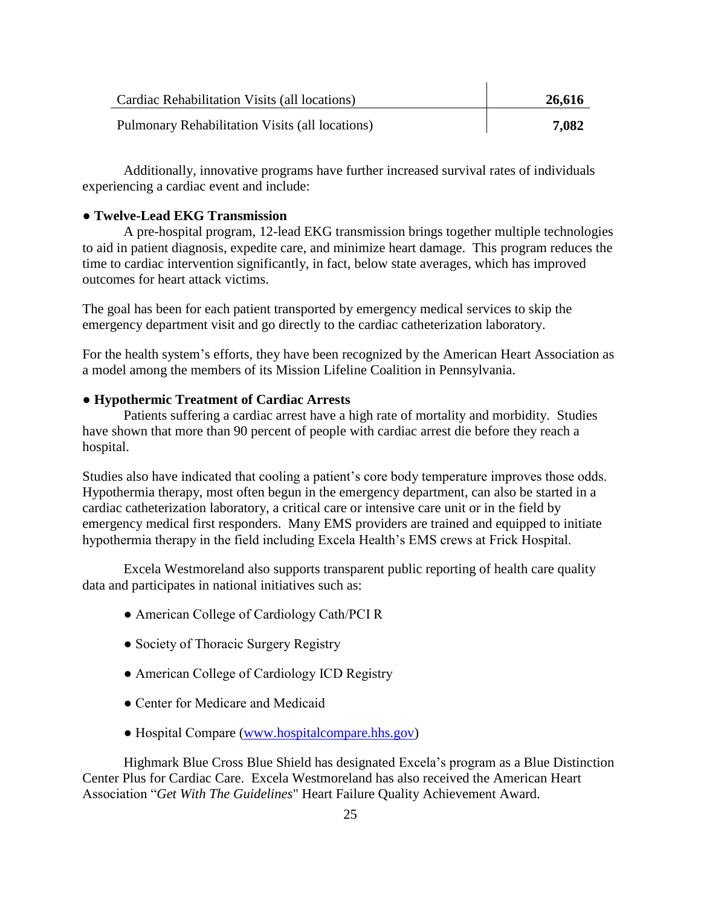| Cardiac Rehabilitation Visits (all locations)   | 26,616 |
|-------------------------------------------------|--------|
| Pulmonary Rehabilitation Visits (all locations) | 7,082  |

Additionally, innovative programs have further increased survival rates of individuals experiencing a cardiac event and include:

# ● **Twelve-Lead EKG Transmission**

A pre-hospital program, 12-lead EKG transmission brings together multiple technologies to aid in patient diagnosis, expedite care, and minimize heart damage. This program reduces the time to cardiac intervention significantly, in fact, below state averages, which has improved outcomes for heart attack victims.

The goal has been for each patient transported by emergency medical services to skip the emergency department visit and go directly to the cardiac catheterization laboratory.

For the health system's efforts, they have been recognized by the American Heart Association as a model among the members of its Mission Lifeline Coalition in Pennsylvania.

## ● **Hypothermic Treatment of Cardiac Arrests**

Patients suffering a cardiac arrest have a high rate of mortality and morbidity. Studies have shown that more than 90 percent of people with cardiac arrest die before they reach a hospital.

Studies also have indicated that cooling a patient's core body temperature improves those odds. Hypothermia therapy, most often begun in the emergency department, can also be started in a cardiac catheterization laboratory, a critical care or intensive care unit or in the field by emergency medical first responders. Many EMS providers are trained and equipped to initiate hypothermia therapy in the field including Excela Health's EMS crews at Frick Hospital.

Excela Westmoreland also supports transparent public reporting of health care quality data and participates in national initiatives such as:

- American College of Cardiology Cath/PCI R
- Society of Thoracic Surgery Registry
- American College of Cardiology ICD Registry
- Center for Medicare and Medicaid
- Hospital Compare [\(www.hospitalcompare.hhs.gov\)](http://www.hospitalcompare.hhs.gov/)

Highmark Blue Cross Blue Shield has designated Excela's program as a Blue Distinction Center Plus for Cardiac Care. Excela Westmoreland has also received the American Heart Association "*Get With The Guidelines*" Heart Failure Quality Achievement Award.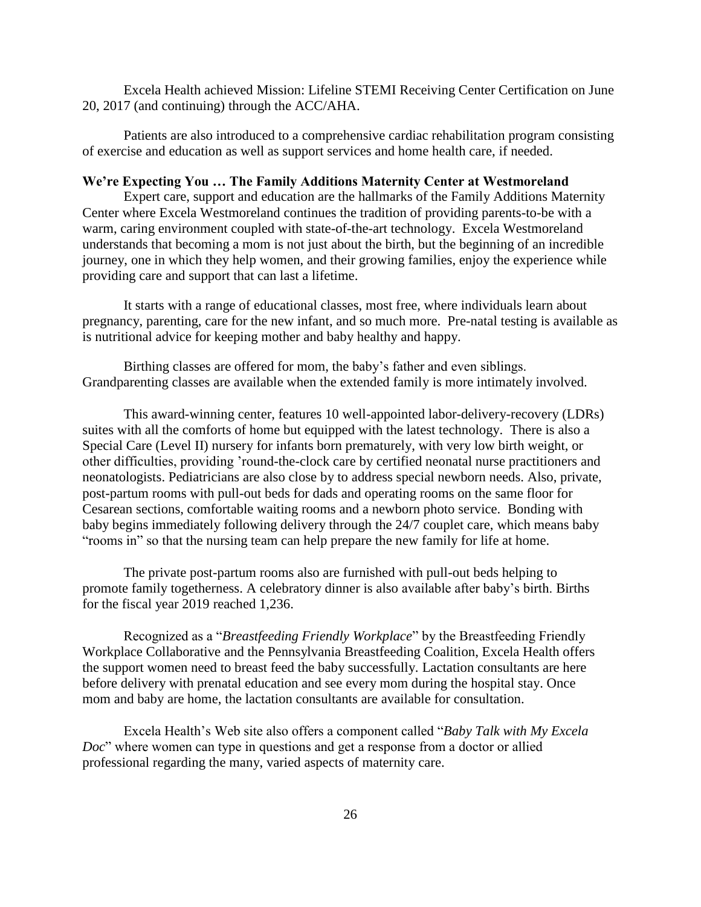Excela Health achieved Mission: Lifeline STEMI Receiving Center Certification on June 20, 2017 (and continuing) through the ACC/AHA.

Patients are also introduced to a comprehensive cardiac rehabilitation program consisting of exercise and education as well as support services and home health care, if needed.

#### **We're Expecting You … The Family Additions Maternity Center at Westmoreland**

Expert care, support and education are the hallmarks of the Family Additions Maternity Center where Excela Westmoreland continues the tradition of providing parents-to-be with a warm, caring environment coupled with state-of-the-art technology. Excela Westmoreland understands that becoming a mom is not just about the birth, but the beginning of an incredible journey, one in which they help women, and their growing families, enjoy the experience while providing care and support that can last a lifetime.

It starts with a range of educational classes, most free, where individuals learn about pregnancy, parenting, care for the new infant, and so much more. Pre-natal testing is available as is nutritional advice for keeping mother and baby healthy and happy.

Birthing classes are offered for mom, the baby's father and even siblings. Grandparenting classes are available when the extended family is more intimately involved.

This award-winning center, features 10 well-appointed labor-delivery-recovery (LDRs) suites with all the comforts of home but equipped with the latest technology. There is also a Special Care (Level II) nursery for infants born prematurely, with very low birth weight, or other difficulties, providing 'round-the-clock care by certified neonatal nurse practitioners and neonatologists. Pediatricians are also close by to address special newborn needs. Also, private, post-partum rooms with pull-out beds for dads and operating rooms on the same floor for Cesarean sections, comfortable waiting rooms and a newborn photo service. Bonding with baby begins immediately following delivery through the 24/7 couplet care, which means baby "rooms in" so that the nursing team can help prepare the new family for life at home.

The private post-partum rooms also are furnished with pull-out beds helping to promote family togetherness. A celebratory dinner is also available after baby's birth. Births for the fiscal year 2019 reached 1,236.

 Recognized as a "*Breastfeeding Friendly Workplace*" by the Breastfeeding Friendly Workplace Collaborative and the Pennsylvania Breastfeeding Coalition, Excela Health offers the support women need to breast feed the baby successfully. Lactation consultants are here before delivery with prenatal education and see every mom during the hospital stay. Once mom and baby are home, the lactation consultants are available for consultation.

 Excela Health's Web site also offers a component called "*Baby Talk with My Excela Doc*" where women can type in questions and get a response from a doctor or allied professional regarding the many, varied aspects of maternity care.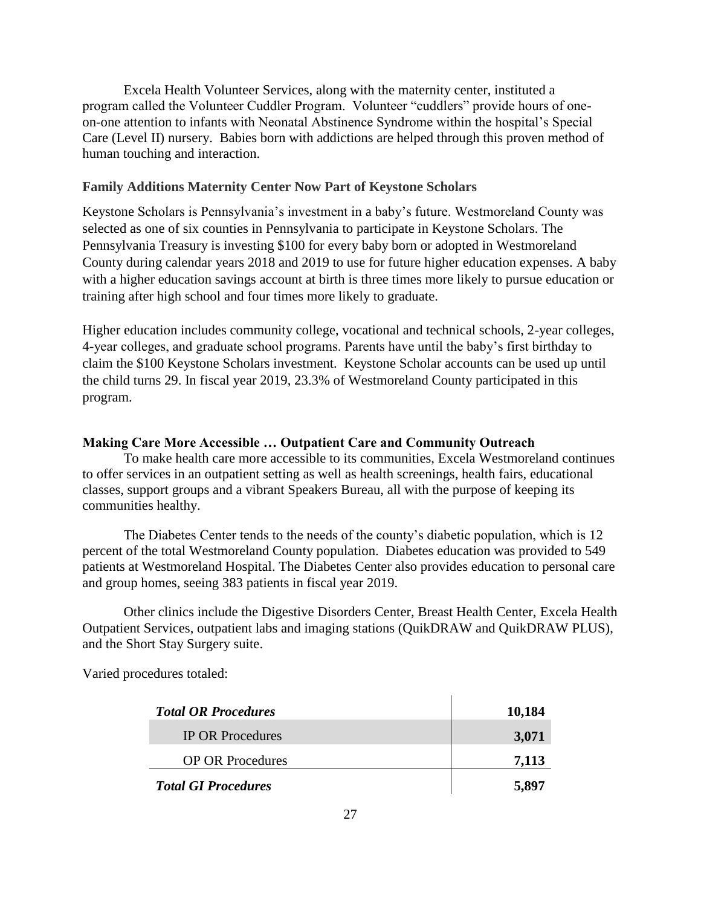Excela Health Volunteer Services, along with the maternity center, instituted a program called the Volunteer Cuddler Program. Volunteer "cuddlers" provide hours of oneon-one attention to infants with Neonatal Abstinence Syndrome within the hospital's Special Care (Level II) nursery. Babies born with addictions are helped through this proven method of human touching and interaction.

### **Family Additions Maternity Center Now Part of Keystone Scholars**

Keystone Scholars is Pennsylvania's investment in a baby's future. Westmoreland County was selected as one of six counties in Pennsylvania to participate in Keystone Scholars. The Pennsylvania Treasury is investing \$100 for every baby born or adopted in Westmoreland County during calendar years 2018 and 2019 to use for future higher education expenses. A baby with a higher education savings account at birth is three times more likely to pursue education or training after high school and four times more likely to graduate.

Higher education includes community college, vocational and technical schools, 2-year colleges, 4-year colleges, and graduate school programs. Parents have until the baby's first birthday to claim the \$100 Keystone Scholars investment. Keystone Scholar accounts can be used up until the child turns 29. In fiscal year 2019, 23.3% of Westmoreland County participated in this program.

## **Making Care More Accessible … Outpatient Care and Community Outreach**

To make health care more accessible to its communities, Excela Westmoreland continues to offer services in an outpatient setting as well as health screenings, health fairs, educational classes, support groups and a vibrant Speakers Bureau, all with the purpose of keeping its communities healthy.

The Diabetes Center tends to the needs of the county's diabetic population, which is 12 percent of the total Westmoreland County population. Diabetes education was provided to 549 patients at Westmoreland Hospital. The Diabetes Center also provides education to personal care and group homes, seeing 383 patients in fiscal year 2019.

Other clinics include the Digestive Disorders Center, Breast Health Center, Excela Health Outpatient Services, outpatient labs and imaging stations (QuikDRAW and QuikDRAW PLUS), and the Short Stay Surgery suite.

Varied procedures totaled:

| <b>Total OR Procedures</b> | 10,184 |
|----------------------------|--------|
| <b>IP OR Procedures</b>    | 3,071  |
| <b>OP OR Procedures</b>    | 7,113  |
| <b>Total GI Procedures</b> | 5.897  |

 $\mathbf{L}$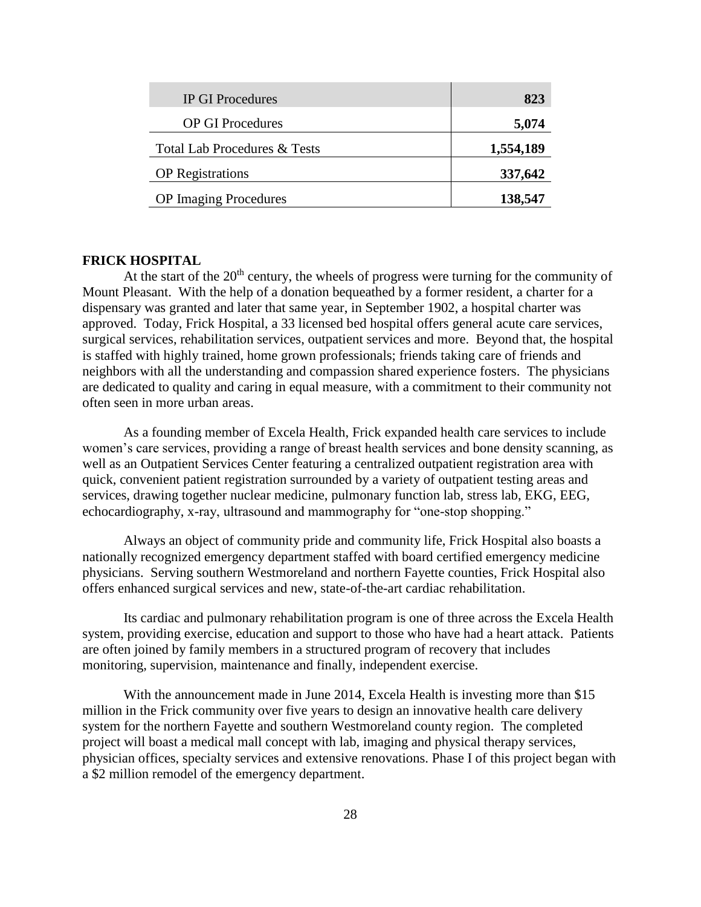| <b>IP GI Procedures</b>                 | 823       |
|-----------------------------------------|-----------|
| <b>OP GI Procedures</b>                 | 5,074     |
| <b>Total Lab Procedures &amp; Tests</b> | 1,554,189 |
| <b>OP</b> Registrations                 | 337,642   |
| <b>OP</b> Imaging Procedures            | 138,547   |

#### **FRICK HOSPITAL**

At the start of the  $20<sup>th</sup>$  century, the wheels of progress were turning for the community of Mount Pleasant. With the help of a donation bequeathed by a former resident, a charter for a dispensary was granted and later that same year, in September 1902, a hospital charter was approved. Today, Frick Hospital, a 33 licensed bed hospital offers general acute care services, surgical services, rehabilitation services, outpatient services and more. Beyond that, the hospital is staffed with highly trained, home grown professionals; friends taking care of friends and neighbors with all the understanding and compassion shared experience fosters. The physicians are dedicated to quality and caring in equal measure, with a commitment to their community not often seen in more urban areas.

As a founding member of Excela Health, Frick expanded health care services to include women's care services, providing a range of breast health services and bone density scanning, as well as an Outpatient Services Center featuring a centralized outpatient registration area with quick, convenient patient registration surrounded by a variety of outpatient testing areas and services, drawing together nuclear medicine, pulmonary function lab, stress lab, EKG, EEG, echocardiography, x-ray, ultrasound and mammography for "one-stop shopping."

Always an object of community pride and community life, Frick Hospital also boasts a nationally recognized emergency department staffed with board certified emergency medicine physicians. Serving southern Westmoreland and northern Fayette counties, Frick Hospital also offers enhanced surgical services and new, state-of-the-art cardiac rehabilitation.

Its cardiac and pulmonary rehabilitation program is one of three across the Excela Health system, providing exercise, education and support to those who have had a heart attack. Patients are often joined by family members in a structured program of recovery that includes monitoring, supervision, maintenance and finally, independent exercise.

With the announcement made in June 2014, Excela Health is investing more than \$15 million in the Frick community over five years to design an innovative health care delivery system for the northern Fayette and southern Westmoreland county region. The completed project will boast a medical mall concept with lab, imaging and physical therapy services, physician offices, specialty services and extensive renovations. Phase I of this project began with a \$2 million remodel of the emergency department.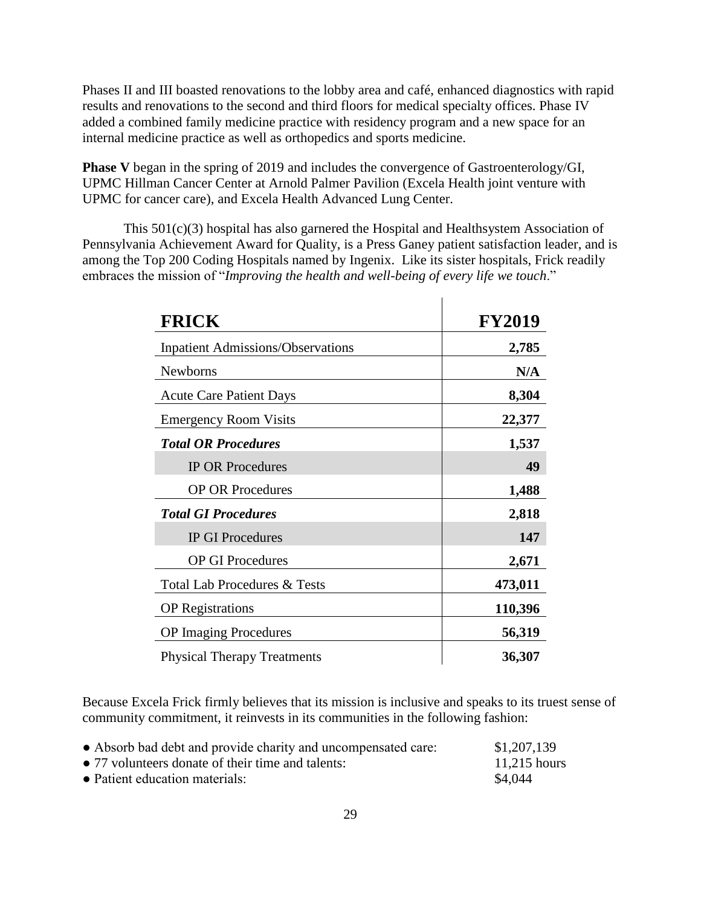Phases II and III boasted renovations to the lobby area and café, enhanced diagnostics with rapid results and renovations to the second and third floors for medical specialty offices. Phase IV added a combined family medicine practice with residency program and a new space for an internal medicine practice as well as orthopedics and sports medicine.

**Phase V** began in the spring of 2019 and includes the convergence of Gastroenterology/GI, UPMC Hillman Cancer Center at Arnold Palmer Pavilion (Excela Health joint venture with UPMC for cancer care), and Excela Health Advanced Lung Center.

This 501(c)(3) hospital has also garnered the Hospital and Healthsystem Association of Pennsylvania Achievement Award for Quality, is a Press Ganey patient satisfaction leader, and is among the Top 200 Coding Hospitals named by Ingenix. Like its sister hospitals, Frick readily embraces the mission of "*Improving the health and well-being of every life we touch*."

| <b>FRICK</b>                             | <b>FY2019</b> |
|------------------------------------------|---------------|
| <b>Inpatient Admissions/Observations</b> | 2,785         |
| <b>Newborns</b>                          | N/A           |
| <b>Acute Care Patient Days</b>           | 8,304         |
| <b>Emergency Room Visits</b>             | 22,377        |
| <b>Total OR Procedures</b>               | 1,537         |
| <b>IP OR Procedures</b>                  | 49            |
| <b>OP OR Procedures</b>                  | 1,488         |
| <b>Total GI Procedures</b>               | 2,818         |
| <b>IP GI Procedures</b>                  | 147           |
| <b>OP GI Procedures</b>                  | 2,671         |
| <b>Total Lab Procedures &amp; Tests</b>  | 473,011       |
| <b>OP</b> Registrations                  | 110,396       |
| <b>OP</b> Imaging Procedures             | 56,319        |
| <b>Physical Therapy Treatments</b>       | 36,307        |

Because Excela Frick firmly believes that its mission is inclusive and speaks to its truest sense of community commitment, it reinvests in its communities in the following fashion:

| • Absorb bad debt and provide charity and uncompensated care: | \$1,207,139    |
|---------------------------------------------------------------|----------------|
| • 77 volunteers donate of their time and talents:             | $11,215$ hours |
| • Patient education materials:                                | \$4,044        |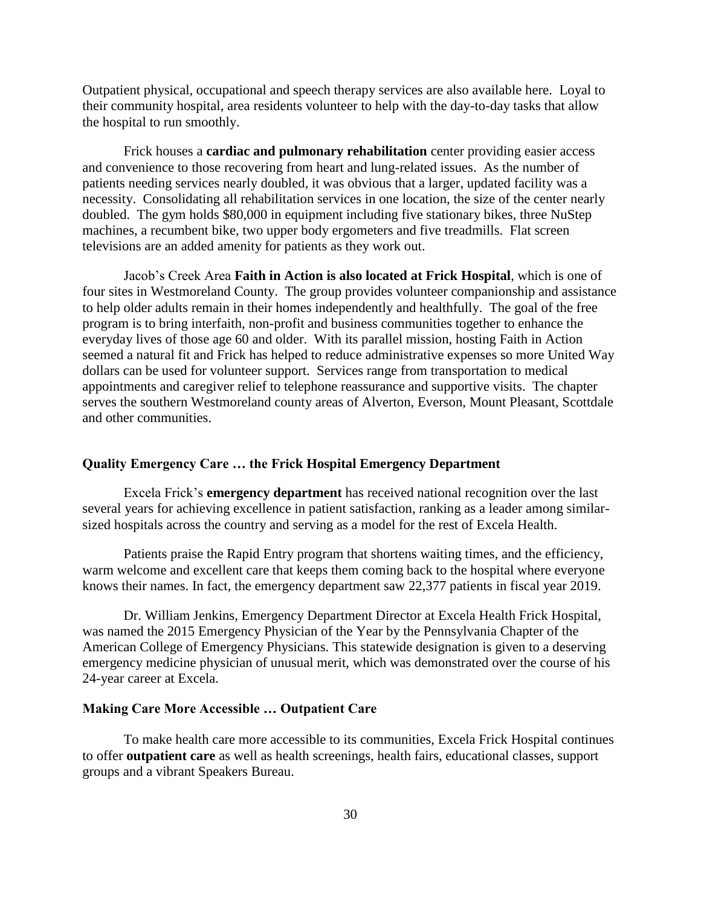Outpatient physical, occupational and speech therapy services are also available here. Loyal to their community hospital, area residents volunteer to help with the day-to-day tasks that allow the hospital to run smoothly.

Frick houses a **cardiac and pulmonary rehabilitation** center providing easier access and convenience to those recovering from heart and lung-related issues. As the number of patients needing services nearly doubled, it was obvious that a larger, updated facility was a necessity. Consolidating all rehabilitation services in one location, the size of the center nearly doubled. The gym holds \$80,000 in equipment including five stationary bikes, three NuStep machines, a recumbent bike, two upper body ergometers and five treadmills. Flat screen televisions are an added amenity for patients as they work out.

Jacob's Creek Area **Faith in Action is also located at Frick Hospital**, which is one of four sites in Westmoreland County. The group provides volunteer companionship and assistance to help older adults remain in their homes independently and healthfully. The goal of the free program is to bring interfaith, non-profit and business communities together to enhance the everyday lives of those age 60 and older. With its parallel mission, hosting Faith in Action seemed a natural fit and Frick has helped to reduce administrative expenses so more United Way dollars can be used for volunteer support. Services range from transportation to medical appointments and caregiver relief to telephone reassurance and supportive visits. The chapter serves the southern Westmoreland county areas of Alverton, Everson, Mount Pleasant, Scottdale and other communities.

#### **Quality Emergency Care … the Frick Hospital Emergency Department**

Excela Frick's **emergency department** has received national recognition over the last several years for achieving excellence in patient satisfaction, ranking as a leader among similarsized hospitals across the country and serving as a model for the rest of Excela Health.

Patients praise the Rapid Entry program that shortens waiting times, and the efficiency, warm welcome and excellent care that keeps them coming back to the hospital where everyone knows their names. In fact, the emergency department saw 22,377 patients in fiscal year 2019.

Dr. William Jenkins, Emergency Department Director at Excela Health Frick Hospital, was named the 2015 Emergency Physician of the Year by the Pennsylvania Chapter of the American College of Emergency Physicians. This statewide designation is given to a deserving emergency medicine physician of unusual merit, which was demonstrated over the course of his 24-year career at Excela.

#### **Making Care More Accessible … Outpatient Care**

To make health care more accessible to its communities, Excela Frick Hospital continues to offer **outpatient care** as well as health screenings, health fairs, educational classes, support groups and a vibrant Speakers Bureau.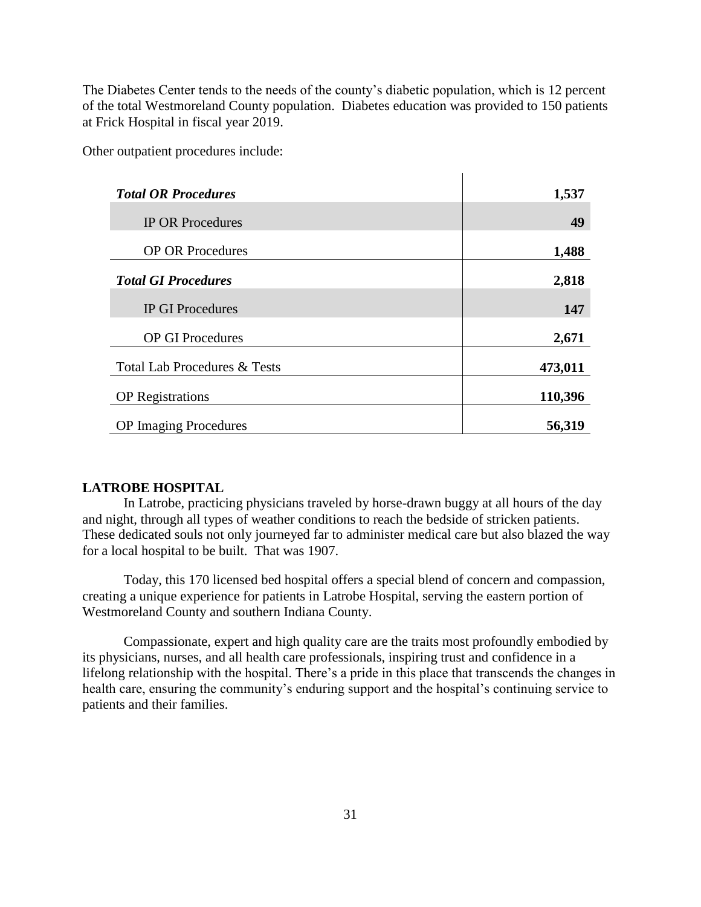The Diabetes Center tends to the needs of the county's diabetic population, which is 12 percent of the total Westmoreland County population. Diabetes education was provided to 150 patients at Frick Hospital in fiscal year 2019.

Other outpatient procedures include:

| <b>Total OR Procedures</b>   | 1,537   |
|------------------------------|---------|
| <b>IP OR Procedures</b>      | 49      |
| <b>OP OR Procedures</b>      | 1,488   |
| <b>Total GI Procedures</b>   | 2,818   |
| <b>IP GI Procedures</b>      | 147     |
| <b>OP GI Procedures</b>      | 2,671   |
| Total Lab Procedures & Tests | 473,011 |
| <b>OP</b> Registrations      | 110,396 |
| <b>OP</b> Imaging Procedures | 56,319  |

## **LATROBE HOSPITAL**

In Latrobe, practicing physicians traveled by horse-drawn buggy at all hours of the day and night, through all types of weather conditions to reach the bedside of stricken patients. These dedicated souls not only journeyed far to administer medical care but also blazed the way for a local hospital to be built. That was 1907.

Today, this 170 licensed bed hospital offers a special blend of concern and compassion, creating a unique experience for patients in Latrobe Hospital, serving the eastern portion of Westmoreland County and southern Indiana County.

Compassionate, expert and high quality care are the traits most profoundly embodied by its physicians, nurses, and all health care professionals, inspiring trust and confidence in a lifelong relationship with the hospital. There's a pride in this place that transcends the changes in health care, ensuring the community's enduring support and the hospital's continuing service to patients and their families.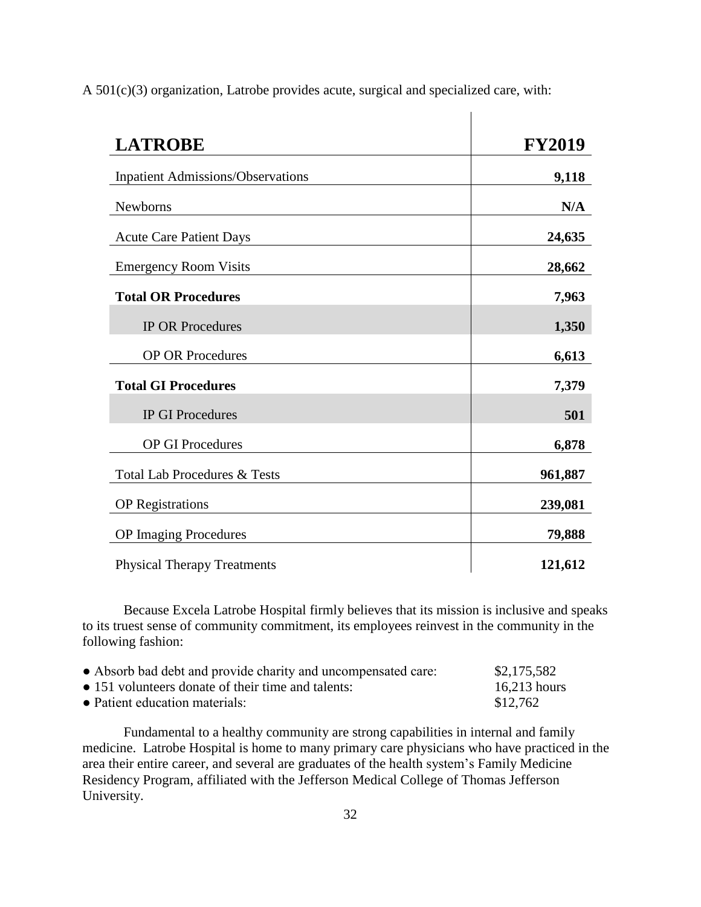| <b>LATROBE</b>                           | <b>FY2019</b> |
|------------------------------------------|---------------|
| <b>Inpatient Admissions/Observations</b> | 9,118         |
| <b>Newborns</b>                          | N/A           |
| <b>Acute Care Patient Days</b>           | 24,635        |
| <b>Emergency Room Visits</b>             | 28,662        |
| <b>Total OR Procedures</b>               | 7,963         |
| <b>IP OR Procedures</b>                  | 1,350         |
| <b>OP OR Procedures</b>                  | 6,613         |
| <b>Total GI Procedures</b>               | 7,379         |
| <b>IP GI Procedures</b>                  | 501           |
| <b>OP GI Procedures</b>                  | 6,878         |
| <b>Total Lab Procedures &amp; Tests</b>  | 961,887       |
| <b>OP</b> Registrations                  | 239,081       |
| <b>OP</b> Imaging Procedures             | 79,888        |
| <b>Physical Therapy Treatments</b>       | 121,612       |

A 501(c)(3) organization, Latrobe provides acute, surgical and specialized care, with:

Because Excela Latrobe Hospital firmly believes that its mission is inclusive and speaks to its truest sense of community commitment, its employees reinvest in the community in the following fashion:

| • Absorb bad debt and provide charity and uncompensated care: | \$2,175,582    |
|---------------------------------------------------------------|----------------|
| • 151 volunteers donate of their time and talents:            | $16,213$ hours |
| • Patient education materials:                                | \$12,762       |

Fundamental to a healthy community are strong capabilities in internal and family medicine. Latrobe Hospital is home to many primary care physicians who have practiced in the area their entire career, and several are graduates of the health system's Family Medicine Residency Program, affiliated with the Jefferson Medical College of Thomas Jefferson University.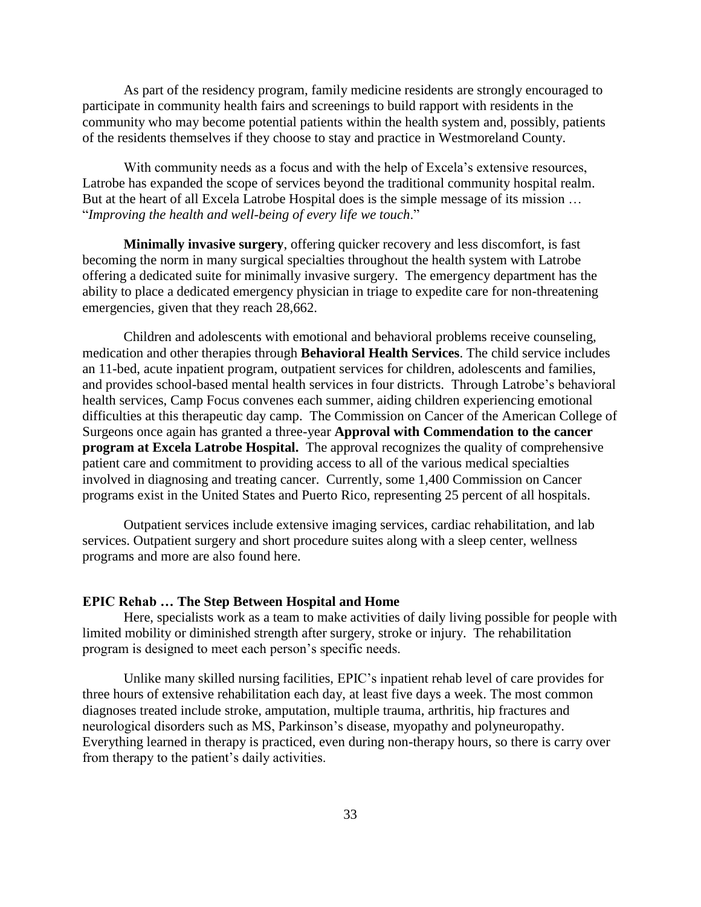As part of the residency program, family medicine residents are strongly encouraged to participate in community health fairs and screenings to build rapport with residents in the community who may become potential patients within the health system and, possibly, patients of the residents themselves if they choose to stay and practice in Westmoreland County.

With community needs as a focus and with the help of Excela's extensive resources, Latrobe has expanded the scope of services beyond the traditional community hospital realm. But at the heart of all Excela Latrobe Hospital does is the simple message of its mission … "*Improving the health and well-being of every life we touch*."

**Minimally invasive surgery**, offering quicker recovery and less discomfort, is fast becoming the norm in many surgical specialties throughout the health system with Latrobe offering a dedicated suite for minimally invasive surgery. The emergency department has the ability to place a dedicated emergency physician in triage to expedite care for non-threatening emergencies, given that they reach 28,662.

Children and adolescents with emotional and behavioral problems receive counseling, medication and other therapies through **Behavioral Health Services**. The child service includes an 11-bed, acute inpatient program, outpatient services for children, adolescents and families, and provides school-based mental health services in four districts. Through Latrobe's behavioral health services, Camp Focus convenes each summer, aiding children experiencing emotional difficulties at this therapeutic day camp. The Commission on Cancer of the American College of Surgeons once again has granted a three-year **Approval with Commendation to the cancer program at Excela Latrobe Hospital.** The approval recognizes the quality of comprehensive patient care and commitment to providing access to all of the various medical specialties involved in diagnosing and treating cancer. Currently, some 1,400 Commission on Cancer programs exist in the United States and Puerto Rico, representing 25 percent of all hospitals.

Outpatient services include extensive imaging services, cardiac rehabilitation, and lab services. Outpatient surgery and short procedure suites along with a sleep center, wellness programs and more are also found here.

#### **EPIC Rehab … The Step Between Hospital and Home**

Here, specialists work as a team to make activities of daily living possible for people with limited mobility or diminished strength after surgery, stroke or injury. The rehabilitation program is designed to meet each person's specific needs.

Unlike many skilled nursing facilities, EPIC's inpatient rehab level of care provides for three hours of extensive rehabilitation each day, at least five days a week. The most common diagnoses treated include stroke, amputation, multiple trauma, arthritis, hip fractures and neurological disorders such as MS, Parkinson's disease, myopathy and polyneuropathy. Everything learned in therapy is practiced, even during non-therapy hours, so there is carry over from therapy to the patient's daily activities.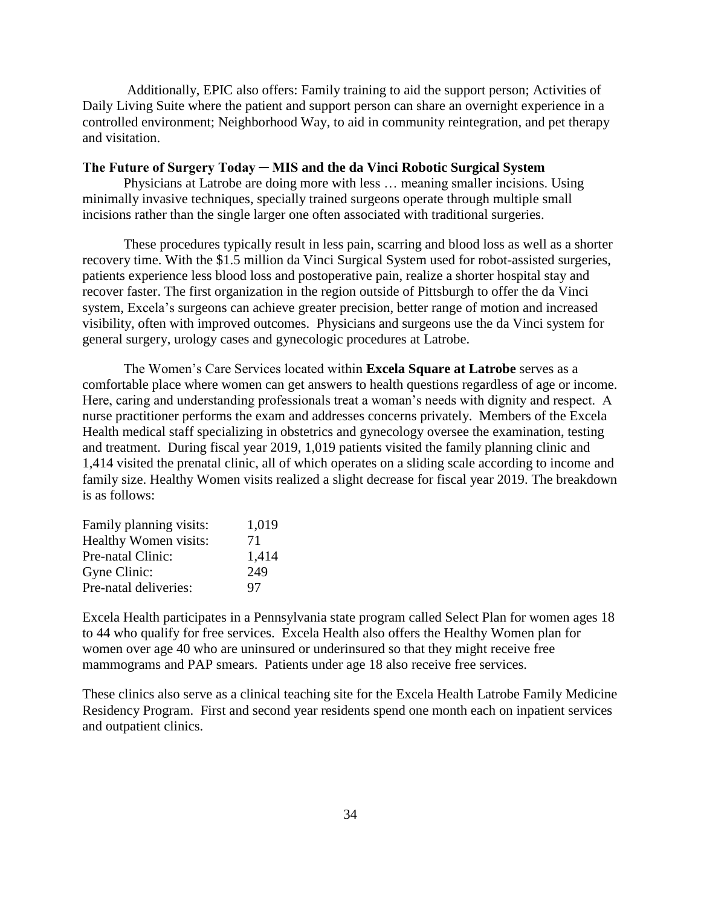Additionally, EPIC also offers: Family training to aid the support person; Activities of Daily Living Suite where the patient and support person can share an overnight experience in a controlled environment; Neighborhood Way, to aid in community reintegration, and pet therapy and visitation.

#### **The Future of Surgery Today ─ MIS and the da Vinci Robotic Surgical System**

Physicians at Latrobe are doing more with less … meaning smaller incisions. Using minimally invasive techniques, specially trained surgeons operate through multiple small incisions rather than the single larger one often associated with traditional surgeries.

These procedures typically result in less pain, scarring and blood loss as well as a shorter recovery time. With the \$1.5 million da Vinci Surgical System used for robot-assisted surgeries, patients experience less blood loss and postoperative pain, realize a shorter hospital stay and recover faster. The first organization in the region outside of Pittsburgh to offer the da Vinci system, Excela's surgeons can achieve greater precision, better range of motion and increased visibility, often with improved outcomes. Physicians and surgeons use the da Vinci system for general surgery, urology cases and gynecologic procedures at Latrobe.

The Women's Care Services located within **Excela Square at Latrobe** serves as a comfortable place where women can get answers to health questions regardless of age or income. Here, caring and understanding professionals treat a woman's needs with dignity and respect. A nurse practitioner performs the exam and addresses concerns privately. Members of the Excela Health medical staff specializing in obstetrics and gynecology oversee the examination, testing and treatment. During fiscal year 2019, 1,019 patients visited the family planning clinic and 1,414 visited the prenatal clinic, all of which operates on a sliding scale according to income and family size. Healthy Women visits realized a slight decrease for fiscal year 2019. The breakdown is as follows:

| Family planning visits: | 1,019 |
|-------------------------|-------|
| Healthy Women visits:   | 71    |
| Pre-natal Clinic:       | 1,414 |
| Gyne Clinic:            | 249   |
| Pre-natal deliveries:   | 97    |

Excela Health participates in a Pennsylvania state program called Select Plan for women ages 18 to 44 who qualify for free services. Excela Health also offers the Healthy Women plan for women over age 40 who are uninsured or underinsured so that they might receive free mammograms and PAP smears. Patients under age 18 also receive free services.

These clinics also serve as a clinical teaching site for the Excela Health Latrobe Family Medicine Residency Program. First and second year residents spend one month each on inpatient services and outpatient clinics.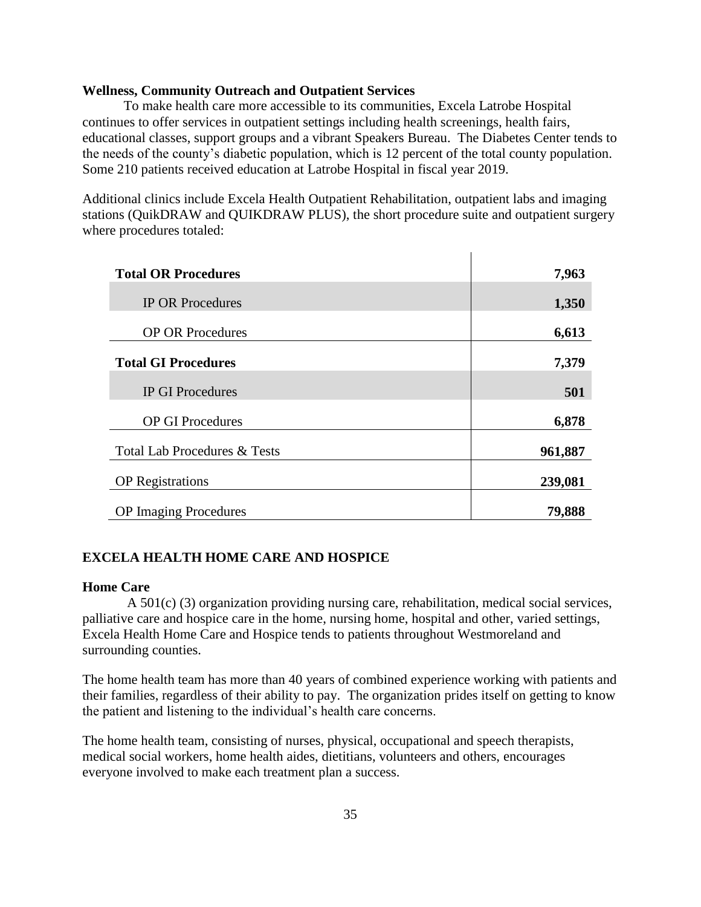### **Wellness, Community Outreach and Outpatient Services**

To make health care more accessible to its communities, Excela Latrobe Hospital continues to offer services in outpatient settings including health screenings, health fairs, educational classes, support groups and a vibrant Speakers Bureau. The Diabetes Center tends to the needs of the county's diabetic population, which is 12 percent of the total county population. Some 210 patients received education at Latrobe Hospital in fiscal year 2019.

Additional clinics include Excela Health Outpatient Rehabilitation, outpatient labs and imaging stations (QuikDRAW and QUIKDRAW PLUS), the short procedure suite and outpatient surgery where procedures totaled:

| <b>Total OR Procedures</b>              | 7,963   |
|-----------------------------------------|---------|
| <b>IP OR Procedures</b>                 | 1,350   |
| <b>OP OR Procedures</b>                 | 6,613   |
| <b>Total GI Procedures</b>              | 7,379   |
| <b>IP GI Procedures</b>                 | 501     |
| <b>OP GI Procedures</b>                 | 6,878   |
| <b>Total Lab Procedures &amp; Tests</b> | 961,887 |
| <b>OP</b> Registrations                 | 239,081 |
| <b>OP</b> Imaging Procedures            | 79,888  |
|                                         |         |

## **EXCELA HEALTH HOME CARE AND HOSPICE**

#### **Home Care**

 A 501(c) (3) organization providing nursing care, rehabilitation, medical social services, palliative care and hospice care in the home, nursing home, hospital and other, varied settings, Excela Health Home Care and Hospice tends to patients throughout Westmoreland and surrounding counties.

The home health team has more than 40 years of combined experience working with patients and their families, regardless of their ability to pay. The organization prides itself on getting to know the patient and listening to the individual's health care concerns.

The home health team, consisting of nurses, physical, occupational and speech therapists, medical social workers, home health aides, dietitians, volunteers and others, encourages everyone involved to make each treatment plan a success.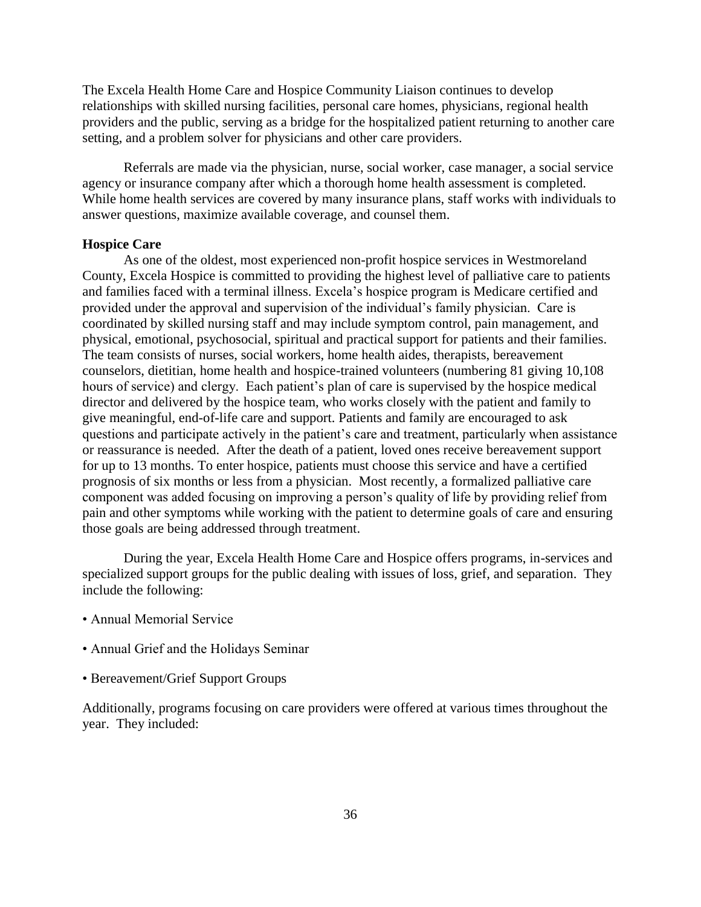The Excela Health Home Care and Hospice Community Liaison continues to develop relationships with skilled nursing facilities, personal care homes, physicians, regional health providers and the public, serving as a bridge for the hospitalized patient returning to another care setting, and a problem solver for physicians and other care providers.

Referrals are made via the physician, nurse, social worker, case manager, a social service agency or insurance company after which a thorough home health assessment is completed. While home health services are covered by many insurance plans, staff works with individuals to answer questions, maximize available coverage, and counsel them.

#### **Hospice Care**

 As one of the oldest, most experienced non-profit hospice services in Westmoreland County, Excela Hospice is committed to providing the highest level of palliative care to patients and families faced with a terminal illness. Excela's hospice program is Medicare certified and provided under the approval and supervision of the individual's family physician. Care is coordinated by skilled nursing staff and may include symptom control, pain management, and physical, emotional, psychosocial, spiritual and practical support for patients and their families. The team consists of nurses, social workers, home health aides, therapists, bereavement counselors, dietitian, home health and hospice-trained volunteers (numbering 81 giving 10,108 hours of service) and clergy. Each patient's plan of care is supervised by the hospice medical director and delivered by the hospice team, who works closely with the patient and family to give meaningful, end-of-life care and support. Patients and family are encouraged to ask questions and participate actively in the patient's care and treatment, particularly when assistance or reassurance is needed. After the death of a patient, loved ones receive bereavement support for up to 13 months. To enter hospice, patients must choose this service and have a certified prognosis of six months or less from a physician. Most recently, a formalized palliative care component was added focusing on improving a person's quality of life by providing relief from pain and other symptoms while working with the patient to determine goals of care and ensuring those goals are being addressed through treatment.

During the year, Excela Health Home Care and Hospice offers programs, in-services and specialized support groups for the public dealing with issues of loss, grief, and separation. They include the following:

- Annual Memorial Service
- Annual Grief and the Holidays Seminar
- Bereavement/Grief Support Groups

Additionally, programs focusing on care providers were offered at various times throughout the year. They included: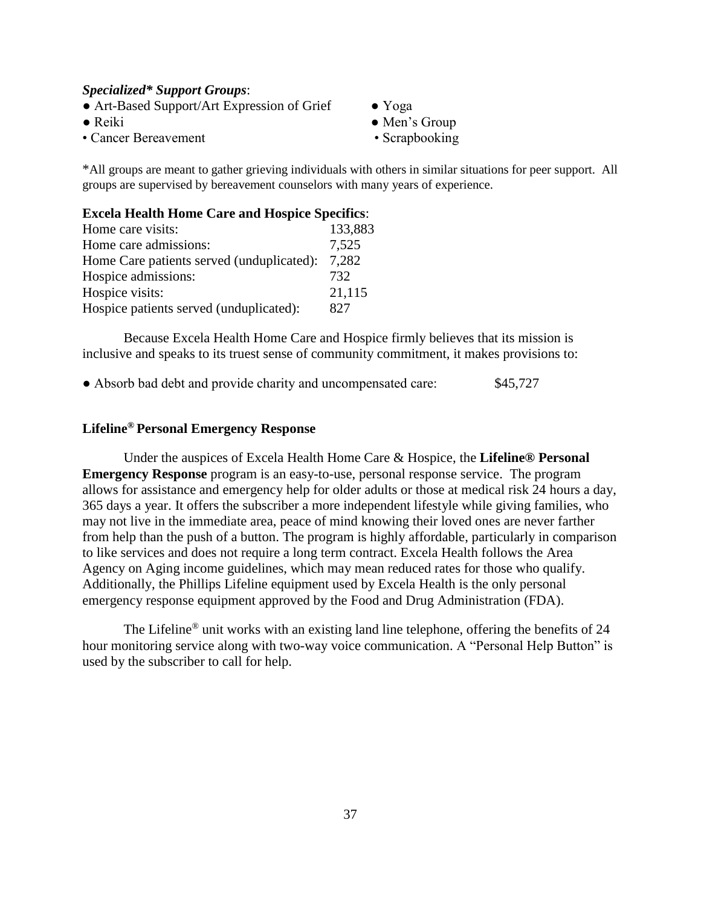## *Specialized\* Support Groups*:

- Art-Based Support/Art Expression of Grief Yoga
- 
- Cancer Bereavement Scrapbooking
- 
- Reiki Nen's Group
	-

\*All groups are meant to gather grieving individuals with others in similar situations for peer support. All groups are supervised by bereavement counselors with many years of experience.

# **Excela Health Home Care and Hospice Specifics**:

| Home care visits:                         | 133,883 |
|-------------------------------------------|---------|
| Home care admissions:                     | 7,525   |
| Home Care patients served (unduplicated): | 7,282   |
| Hospice admissions:                       | 732     |
| Hospice visits:                           | 21,115  |
| Hospice patients served (unduplicated):   | 827     |

Because Excela Health Home Care and Hospice firmly believes that its mission is inclusive and speaks to its truest sense of community commitment, it makes provisions to:

• Absorb bad debt and provide charity and uncompensated care: \$45,727

# **Lifeline® Personal Emergency Response**

Under the auspices of Excela Health Home Care & Hospice, the **Lifeline® Personal Emergency Response** program is an easy-to-use, personal response service. The program allows for assistance and emergency help for older adults or those at medical risk 24 hours a day, 365 days a year. It offers the subscriber a more independent lifestyle while giving families, who may not live in the immediate area, peace of mind knowing their loved ones are never farther from help than the push of a button. The program is highly affordable, particularly in comparison to like services and does not require a long term contract. Excela Health follows the Area Agency on Aging income guidelines, which may mean reduced rates for those who qualify. Additionally, the Phillips Lifeline equipment used by Excela Health is the only personal emergency response equipment approved by the Food and Drug Administration (FDA).

The Lifeline<sup>®</sup> unit works with an existing land line telephone, offering the benefits of 24 hour monitoring service along with two-way voice communication. A "Personal Help Button" is used by the subscriber to call for help.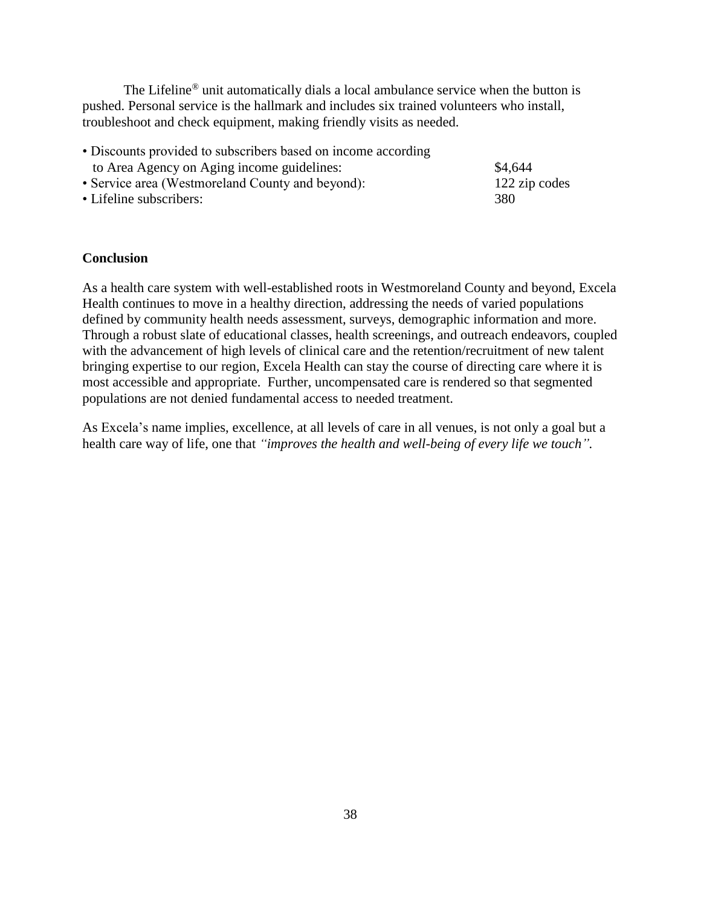The Lifeline® unit automatically dials a local ambulance service when the button is pushed. Personal service is the hallmark and includes six trained volunteers who install, troubleshoot and check equipment, making friendly visits as needed.

• Discounts provided to subscribers based on income according to Area Agency on Aging income guidelines: \$4,644 • Service area (Westmoreland County and beyond): 122 zip codes • Lifeline subscribers: 380

#### **Conclusion**

As a health care system with well-established roots in Westmoreland County and beyond, Excela Health continues to move in a healthy direction, addressing the needs of varied populations defined by community health needs assessment, surveys, demographic information and more. Through a robust slate of educational classes, health screenings, and outreach endeavors, coupled with the advancement of high levels of clinical care and the retention/recruitment of new talent bringing expertise to our region, Excela Health can stay the course of directing care where it is most accessible and appropriate. Further, uncompensated care is rendered so that segmented populations are not denied fundamental access to needed treatment.

As Excela's name implies, excellence, at all levels of care in all venues, is not only a goal but a health care way of life, one that *"improves the health and well-being of every life we touch".*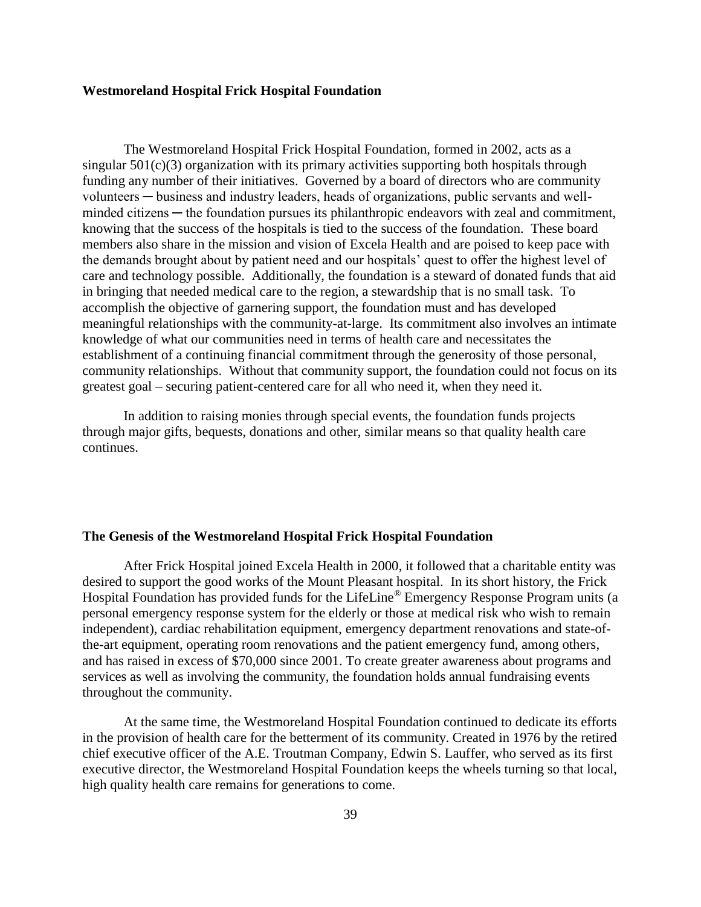#### **Westmoreland Hospital Frick Hospital Foundation**

The Westmoreland Hospital Frick Hospital Foundation, formed in 2002, acts as a singular  $501(c)(3)$  organization with its primary activities supporting both hospitals through funding any number of their initiatives. Governed by a board of directors who are community volunteers ─ business and industry leaders, heads of organizations, public servants and wellminded citizens — the foundation pursues its philanthropic endeavors with zeal and commitment, knowing that the success of the hospitals is tied to the success of the foundation. These board members also share in the mission and vision of Excela Health and are poised to keep pace with the demands brought about by patient need and our hospitals' quest to offer the highest level of care and technology possible. Additionally, the foundation is a steward of donated funds that aid in bringing that needed medical care to the region, a stewardship that is no small task. To accomplish the objective of garnering support, the foundation must and has developed meaningful relationships with the community-at-large. Its commitment also involves an intimate knowledge of what our communities need in terms of health care and necessitates the establishment of a continuing financial commitment through the generosity of those personal, community relationships. Without that community support, the foundation could not focus on its greatest goal – securing patient-centered care for all who need it, when they need it.

In addition to raising monies through special events, the foundation funds projects through major gifts, bequests, donations and other, similar means so that quality health care continues.

#### **The Genesis of the Westmoreland Hospital Frick Hospital Foundation**

After Frick Hospital joined Excela Health in 2000, it followed that a charitable entity was desired to support the good works of the Mount Pleasant hospital. In its short history, the Frick Hospital Foundation has provided funds for the LifeLine® Emergency Response Program units (a personal emergency response system for the elderly or those at medical risk who wish to remain independent), cardiac rehabilitation equipment, emergency department renovations and state-ofthe-art equipment, operating room renovations and the patient emergency fund, among others, and has raised in excess of \$70,000 since 2001. To create greater awareness about programs and services as well as involving the community, the foundation holds annual fundraising events throughout the community.

At the same time, the Westmoreland Hospital Foundation continued to dedicate its efforts in the provision of health care for the betterment of its community. Created in 1976 by the retired chief executive officer of the A.E. Troutman Company, Edwin S. Lauffer, who served as its first executive director, the Westmoreland Hospital Foundation keeps the wheels turning so that local, high quality health care remains for generations to come.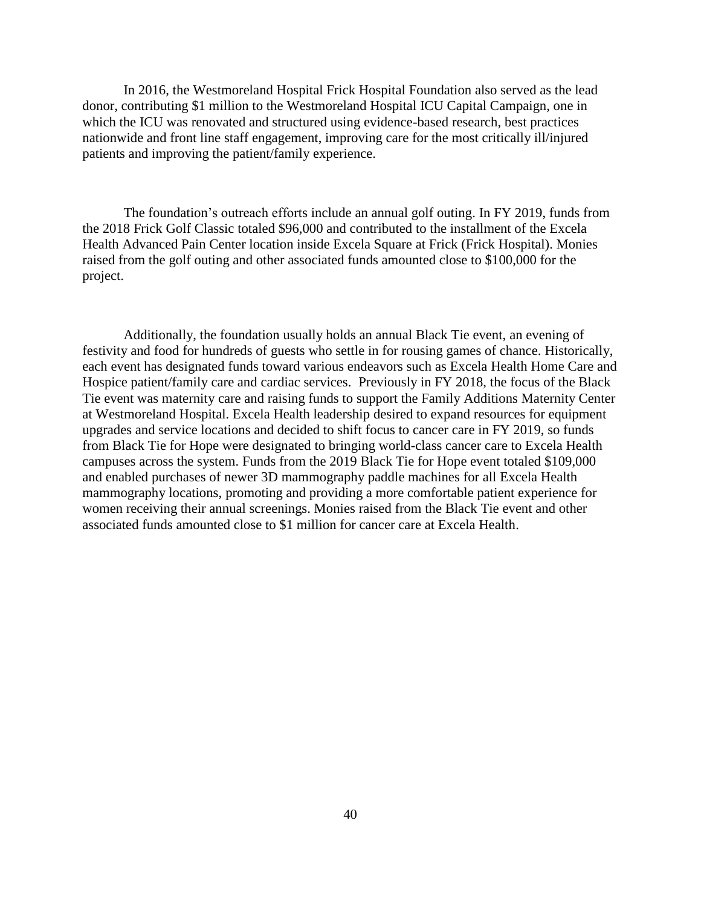In 2016, the Westmoreland Hospital Frick Hospital Foundation also served as the lead donor, contributing \$1 million to the Westmoreland Hospital ICU Capital Campaign, one in which the ICU was renovated and structured using evidence-based research, best practices nationwide and front line staff engagement, improving care for the most critically ill/injured patients and improving the patient/family experience.

The foundation's outreach efforts include an annual golf outing. In FY 2019, funds from the 2018 Frick Golf Classic totaled \$96,000 and contributed to the installment of the Excela Health Advanced Pain Center location inside Excela Square at Frick (Frick Hospital). Monies raised from the golf outing and other associated funds amounted close to \$100,000 for the project.

Additionally, the foundation usually holds an annual Black Tie event, an evening of festivity and food for hundreds of guests who settle in for rousing games of chance. Historically, each event has designated funds toward various endeavors such as Excela Health Home Care and Hospice patient/family care and cardiac services. Previously in FY 2018, the focus of the Black Tie event was maternity care and raising funds to support the Family Additions Maternity Center at Westmoreland Hospital. Excela Health leadership desired to expand resources for equipment upgrades and service locations and decided to shift focus to cancer care in FY 2019, so funds from Black Tie for Hope were designated to bringing world-class cancer care to Excela Health campuses across the system. Funds from the 2019 Black Tie for Hope event totaled \$109,000 and enabled purchases of newer 3D mammography paddle machines for all Excela Health mammography locations, promoting and providing a more comfortable patient experience for women receiving their annual screenings. Monies raised from the Black Tie event and other associated funds amounted close to \$1 million for cancer care at Excela Health.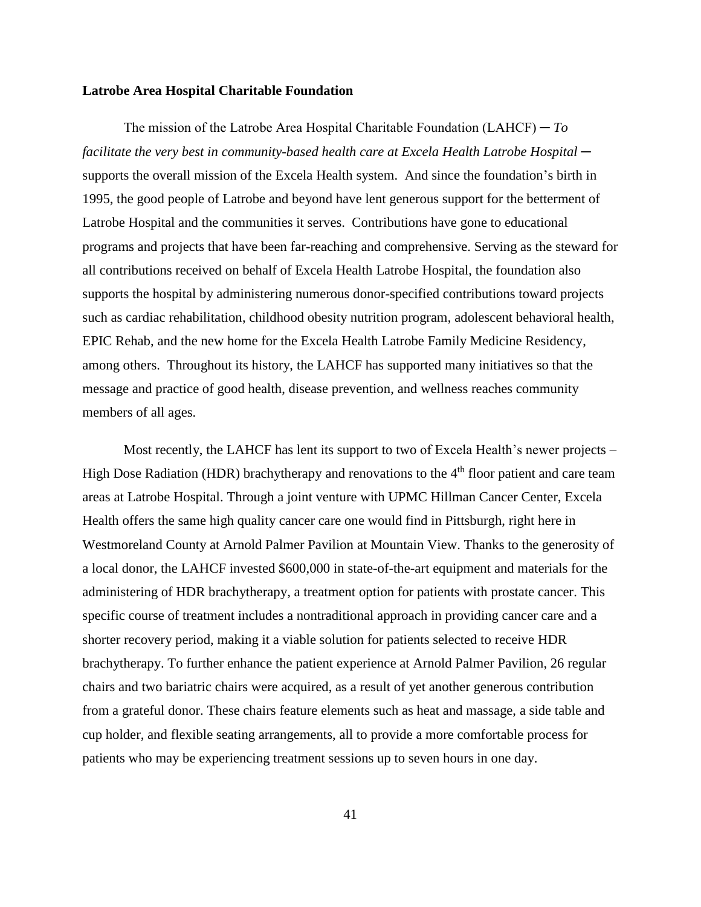## **Latrobe Area Hospital Charitable Foundation**

The mission of the Latrobe Area Hospital Charitable Foundation  $(LA HCF) - To$ *facilitate the very best in community-based health care at Excela Health Latrobe Hospital* ─ supports the overall mission of the Excela Health system. And since the foundation's birth in 1995, the good people of Latrobe and beyond have lent generous support for the betterment of Latrobe Hospital and the communities it serves. Contributions have gone to educational programs and projects that have been far-reaching and comprehensive. Serving as the steward for all contributions received on behalf of Excela Health Latrobe Hospital, the foundation also supports the hospital by administering numerous donor-specified contributions toward projects such as cardiac rehabilitation, childhood obesity nutrition program, adolescent behavioral health, EPIC Rehab, and the new home for the Excela Health Latrobe Family Medicine Residency, among others. Throughout its history, the LAHCF has supported many initiatives so that the message and practice of good health, disease prevention, and wellness reaches community members of all ages.

Most recently, the LAHCF has lent its support to two of Excela Health's newer projects – High Dose Radiation (HDR) brachytherapy and renovations to the  $4<sup>th</sup>$  floor patient and care team areas at Latrobe Hospital. Through a joint venture with UPMC Hillman Cancer Center, Excela Health offers the same high quality cancer care one would find in Pittsburgh, right here in Westmoreland County at Arnold Palmer Pavilion at Mountain View. Thanks to the generosity of a local donor, the LAHCF invested \$600,000 in state-of-the-art equipment and materials for the administering of HDR brachytherapy, a treatment option for patients with prostate cancer. This specific course of treatment includes a nontraditional approach in providing cancer care and a shorter recovery period, making it a viable solution for patients selected to receive HDR brachytherapy. To further enhance the patient experience at Arnold Palmer Pavilion, 26 regular chairs and two bariatric chairs were acquired, as a result of yet another generous contribution from a grateful donor. These chairs feature elements such as heat and massage, a side table and cup holder, and flexible seating arrangements, all to provide a more comfortable process for patients who may be experiencing treatment sessions up to seven hours in one day.